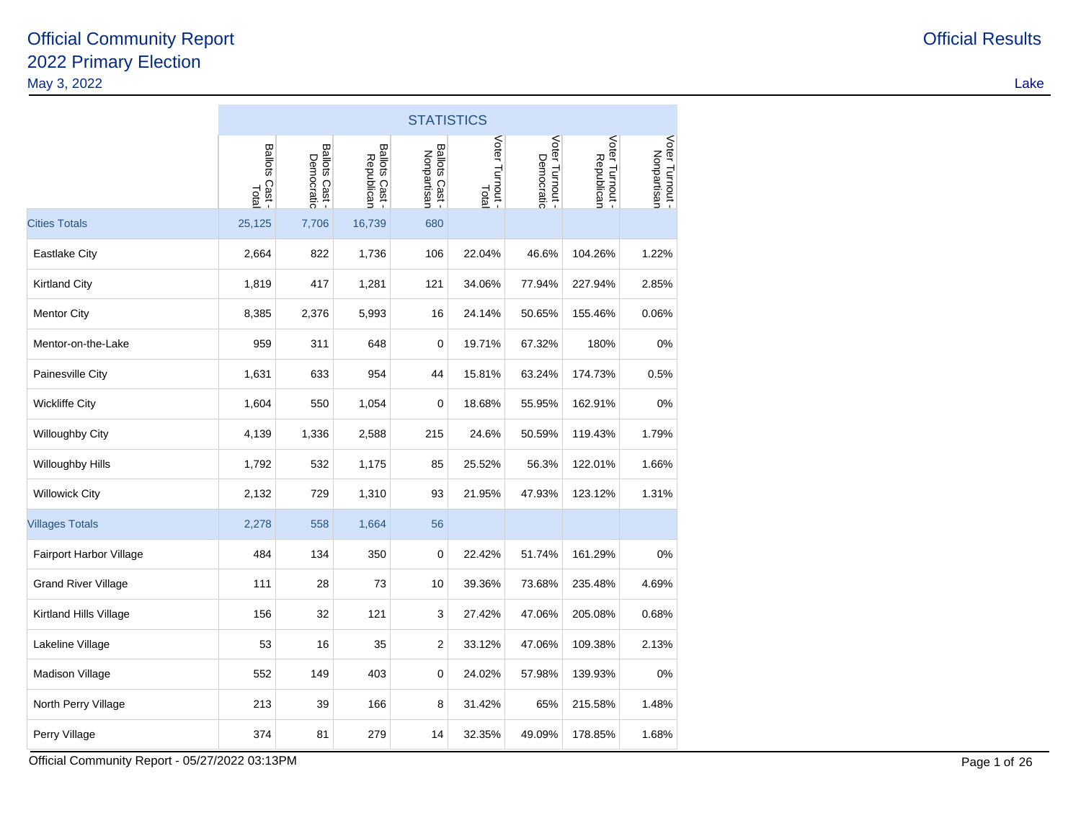|                            | <b>STATISTICS</b>       |                              |                              |                               |                          |                               |                               |                                |  |  |  |
|----------------------------|-------------------------|------------------------------|------------------------------|-------------------------------|--------------------------|-------------------------------|-------------------------------|--------------------------------|--|--|--|
|                            | Ballots Cast -<br>Total | Ballots Cast -<br>Democratic | Ballots Cast -<br>Republican | Ballots Cast -<br>Nonpartisan | Voter Turnout -<br>Total | Voter Turnout -<br>Democratic | Voter Turnout -<br>Republican | Voter Turnout -<br>Nonpartisan |  |  |  |
| <b>Cities Totals</b>       | 25,125                  | 7,706                        | 16,739                       | 680                           |                          |                               |                               |                                |  |  |  |
| <b>Eastlake City</b>       | 2,664                   | 822                          | 1,736                        | 106                           | 22.04%                   | 46.6%                         | 104.26%                       | 1.22%                          |  |  |  |
| <b>Kirtland City</b>       | 1,819                   | 417                          | 1,281                        | 121                           | 34.06%                   | 77.94%                        | 227.94%                       | 2.85%                          |  |  |  |
| <b>Mentor City</b>         | 8,385                   | 2,376                        | 5,993                        | 16                            | 24.14%                   | 50.65%                        | 155.46%                       | 0.06%                          |  |  |  |
| Mentor-on-the-Lake         | 959                     | 311                          | 648                          | 0                             | 19.71%                   | 67.32%                        | 180%                          | 0%                             |  |  |  |
| Painesville City           | 1,631                   | 633                          | 954                          | 44                            | 15.81%                   | 63.24%                        | 174.73%                       | 0.5%                           |  |  |  |
| <b>Wickliffe City</b>      | 1,604                   | 550                          | 1,054                        | 0                             | 18.68%                   | 55.95%                        | 162.91%                       | 0%                             |  |  |  |
| Willoughby City            | 4,139                   | 1,336                        | 2,588                        | 215                           | 24.6%                    | 50.59%                        | 119.43%                       | 1.79%                          |  |  |  |
| <b>Willoughby Hills</b>    | 1,792                   | 532                          | 1,175                        | 85                            | 25.52%                   | 56.3%                         | 122.01%                       | 1.66%                          |  |  |  |
| <b>Willowick City</b>      | 2,132                   | 729                          | 1,310                        | 93                            | 21.95%                   | 47.93%                        | 123.12%                       | 1.31%                          |  |  |  |
| <b>Villages Totals</b>     | 2,278                   | 558                          | 1,664                        | 56                            |                          |                               |                               |                                |  |  |  |
| Fairport Harbor Village    | 484                     | 134                          | 350                          | 0                             | 22.42%                   | 51.74%                        | 161.29%                       | 0%                             |  |  |  |
| <b>Grand River Village</b> | 111                     | 28                           | 73                           | 10                            | 39.36%                   | 73.68%                        | 235.48%                       | 4.69%                          |  |  |  |
| Kirtland Hills Village     | 156                     | 32                           | 121                          | 3                             | 27.42%                   | 47.06%                        | 205.08%                       | 0.68%                          |  |  |  |
| Lakeline Village           | 53                      | 16                           | 35                           | $\overline{2}$                | 33.12%                   | 47.06%                        | 109.38%                       | 2.13%                          |  |  |  |
| Madison Village            | 552                     | 149                          | 403                          | 0                             | 24.02%                   | 57.98%                        | 139.93%                       | 0%                             |  |  |  |
| North Perry Village        | 213                     | 39                           | 166                          | 8                             | 31.42%                   | 65%                           | 215.58%                       | 1.48%                          |  |  |  |
| Perry Village              | 374                     | 81                           | 279                          | 14                            | 32.35%                   | 49.09%                        | 178.85%                       | 1.68%                          |  |  |  |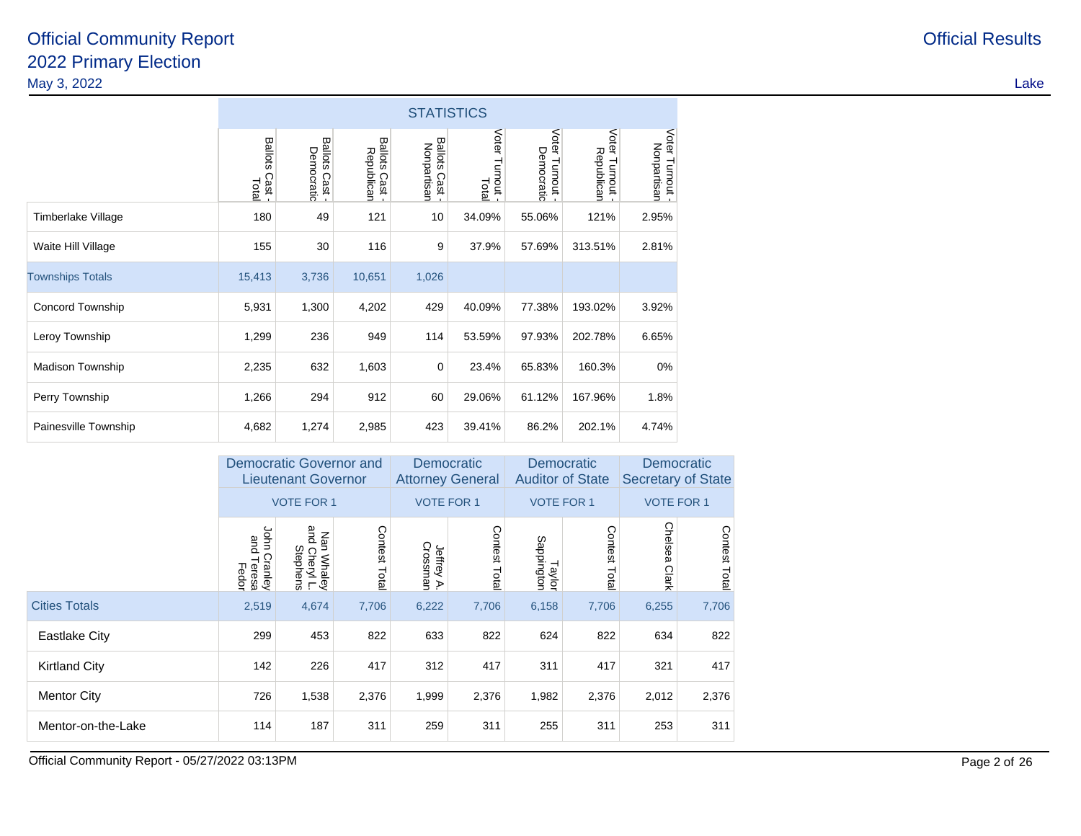|                         |                                   | <b>STATISTICS</b>                     |                                       |                                        |                           |                                  |                               |                                |  |  |  |
|-------------------------|-----------------------------------|---------------------------------------|---------------------------------------|----------------------------------------|---------------------------|----------------------------------|-------------------------------|--------------------------------|--|--|--|
|                         | <b>Ballots</b><br>Cast -<br>Total | <b>Ballots</b><br>Democratic<br>Cast- | <b>Ballots</b><br>Republican<br>Cast- | <b>Ballots</b><br>Nonpartisan<br>Cast- | Voter<br>Turnout<br>Total | Voter<br>Democratic<br>Turnout - | Voter Turnout -<br>Republican | Voter Turnout -<br>Nonpartisan |  |  |  |
| Timberlake Village      | 180                               | 49                                    | 121                                   | 10                                     | 34.09%                    | 55.06%                           | 121%                          | 2.95%                          |  |  |  |
| Waite Hill Village      | 155                               | 30                                    | 116                                   | 9                                      | 37.9%                     | 57.69%                           | 313.51%                       | 2.81%                          |  |  |  |
| <b>Townships Totals</b> | 15,413                            | 3,736                                 | 10,651                                | 1,026                                  |                           |                                  |                               |                                |  |  |  |
| Concord Township        | 5,931                             | 1,300                                 | 4,202                                 | 429                                    | 40.09%                    | 77.38%                           | 193.02%                       | 3.92%                          |  |  |  |
| Leroy Township          | 1,299                             | 236                                   | 949                                   | 114                                    | 53.59%                    | 97.93%                           | 202.78%                       | 6.65%                          |  |  |  |
| <b>Madison Township</b> | 2,235                             | 632                                   | 1,603                                 | 0                                      | 23.4%                     | 65.83%                           | 160.3%                        | 0%                             |  |  |  |
| Perry Township          | 1,266                             | 294                                   | 912                                   | 60                                     | 29.06%                    | 61.12%                           | 167.96%                       | 1.8%                           |  |  |  |
| Painesville Township    | 4,682                             | 1,274                                 | 2,985                                 | 423                                    | 39.41%                    | 86.2%                            | 202.1%                        | 4.74%                          |  |  |  |

|                      |                                           | Democratic Governor and<br><b>Lieutenant Governor</b> |              | <b>Democratic</b><br><b>Attorney General</b> |              | <b>Democratic</b><br><b>Auditor of State</b> |                         | Democratic<br><b>Secretary of State</b> |              |  |
|----------------------|-------------------------------------------|-------------------------------------------------------|--------------|----------------------------------------------|--------------|----------------------------------------------|-------------------------|-----------------------------------------|--------------|--|
|                      |                                           | <b>VOTE FOR 1</b>                                     |              | <b>VOTE FOR 1</b>                            |              | <b>VOTE FOR 1</b>                            |                         | <b>VOTE FOR 1</b>                       |              |  |
|                      | John<br>and<br>Cranley<br>Teresa<br>Fedor | Nan Whaley<br>and Cheryl L.<br>Stephens               | Contest Tota | Jeffrey A.<br>Crossman                       | Contest Tota | Sappington<br>Taylor                         | Contest<br><b>Total</b> | Chelsea<br>Clark                        | Contest Tota |  |
| <b>Cities Totals</b> | 2,519                                     | 4,674                                                 | 7,706        | 6,222                                        | 7,706        | 6,158                                        | 7,706                   | 6,255                                   | 7,706        |  |
| <b>Eastlake City</b> | 299                                       | 453                                                   | 822          | 633                                          | 822          | 624                                          | 822                     | 634                                     | 822          |  |
| <b>Kirtland City</b> | 142                                       | 226                                                   | 417          | 312                                          | 417          | 311                                          | 417                     | 321                                     | 417          |  |
| <b>Mentor City</b>   | 726                                       | 1,538                                                 | 2,376        | 1,999                                        | 2,376        | 1,982                                        | 2,376                   | 2,012                                   | 2,376        |  |
| Mentor-on-the-Lake   | 114                                       | 187                                                   | 311          | 259                                          | 311          | 255                                          | 311                     | 253                                     | 311          |  |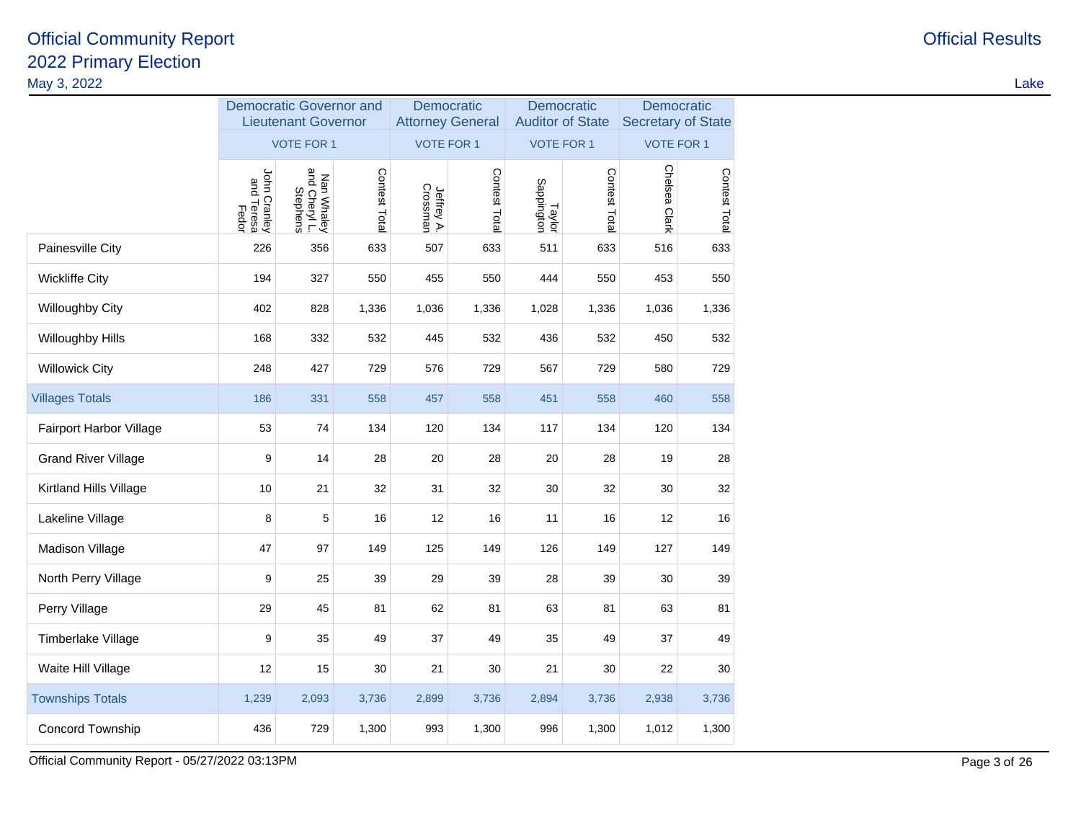| May 3, 2022                |                                     |                                                              |               |                                       |               |                      |                                       |                                         |                   | Lake |
|----------------------------|-------------------------------------|--------------------------------------------------------------|---------------|---------------------------------------|---------------|----------------------|---------------------------------------|-----------------------------------------|-------------------|------|
|                            |                                     | <b>Democratic Governor and</b><br><b>Lieutenant Governor</b> |               | Democratic<br><b>Attorney General</b> |               |                      | Democratic<br><b>Auditor of State</b> | Democratic<br><b>Secretary of State</b> |                   |      |
|                            |                                     | <b>VOTE FOR 1</b>                                            |               | <b>VOTE FOR 1</b>                     |               |                      | <b>VOTE FOR 1</b>                     |                                         | <b>VOTE FOR 1</b> |      |
|                            | John Cranley<br>and Teresa<br>Fedor | Nan Whaley<br>and Cheryl L.<br>Stephens                      | Contest Total | Jeffrey A.<br>Crossman                | Contest Total | Taylor<br>Sappington | Contest Total                         | Chelsea Clark                           | Contest Total     |      |
| Painesville City           | 226                                 | 356                                                          | 633           | 507                                   | 633           | 511                  | 633                                   | 516                                     | 633               |      |
| <b>Wickliffe City</b>      | 194                                 | 327                                                          | 550           | 455                                   | 550           | 444                  | 550                                   | 453                                     | 550               |      |
| Willoughby City            | 402                                 | 828                                                          | 1,336         | 1,036                                 | 1,336         | 1,028                | 1,336                                 | 1,036                                   | 1,336             |      |
| Willoughby Hills           | 168                                 | 332                                                          | 532           | 445                                   | 532           | 436                  | 532                                   | 450                                     | 532               |      |
| <b>Willowick City</b>      | 248                                 | 427                                                          | 729           | 576                                   | 729           | 567                  | 729                                   | 580                                     | 729               |      |
| <b>Villages Totals</b>     | 186                                 | 331                                                          | 558           | 457                                   | 558           | 451                  | 558                                   | 460                                     | 558               |      |
| Fairport Harbor Village    | 53                                  | 74                                                           | 134           | 120                                   | 134           | 117                  | 134                                   | 120                                     | 134               |      |
| <b>Grand River Village</b> | 9                                   | 14                                                           | 28            | 20                                    | 28            | 20                   | 28                                    | 19                                      | 28                |      |
| Kirtland Hills Village     | $10$                                | 21                                                           | 32            | 31                                    | 32            | 30                   | 32                                    | 30                                      | 32                |      |
| Lakeline Village           | 8                                   | 5                                                            | 16            | $12$                                  | 16            | 11                   | 16                                    | 12                                      | 16                |      |
| Madison Village            | 47                                  | 97                                                           | 149           | 125                                   | 149           | 126                  | 149                                   | 127                                     | 149               |      |
| North Perry Village        | 9                                   | 25                                                           | 39            | 29                                    | 39            | 28                   | 39                                    | 30                                      | 39                |      |
| Perry Village              | 29                                  | 45                                                           | 81            | 62                                    | 81            | 63                   | 81                                    | 63                                      | 81                |      |
| Timberlake Village         | $\boldsymbol{9}$                    | 35                                                           | 49            | 37                                    | 49            | 35                   | 49                                    | 37                                      | 49                |      |
| Waite Hill Village         | 12                                  | 15                                                           | 30            | 21                                    | 30            | 21                   | 30                                    | 22                                      | 30                |      |
| <b>Townships Totals</b>    | 1,239                               | 2,093                                                        | 3,736         | 2,899                                 | 3,736         | 2,894                | 3,736                                 | 2,938                                   | 3,736             |      |
| Concord Township           | 436                                 | 729                                                          | 1,300         | 993                                   | 1,300         | 996                  | 1,300                                 | 1,012                                   | 1,300             |      |
|                            |                                     |                                                              |               |                                       |               |                      |                                       |                                         |                   |      |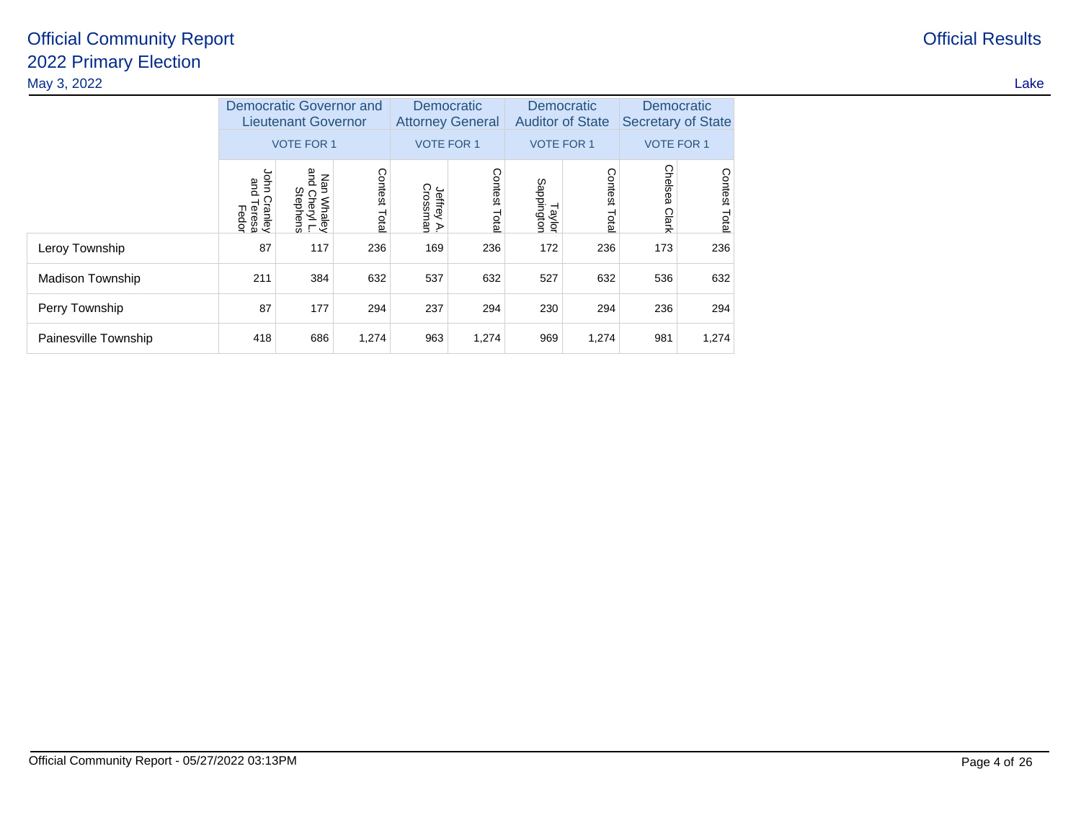| May 3, 2022          |                                           |                                                                                   |                         |                                                            |               |                                                            |                  |                                                              |                |
|----------------------|-------------------------------------------|-----------------------------------------------------------------------------------|-------------------------|------------------------------------------------------------|---------------|------------------------------------------------------------|------------------|--------------------------------------------------------------|----------------|
|                      |                                           | <b>Democratic Governor and</b><br><b>Lieutenant Governor</b><br><b>VOTE FOR 1</b> |                         | Democratic<br><b>Attorney General</b><br><b>VOTE FOR 1</b> |               | Democratic<br><b>Auditor of State</b><br><b>VOTE FOR 1</b> |                  | Democratic<br><b>Secretary of State</b><br><b>VOTE FOR 1</b> |                |
|                      | lohn<br>and<br>Cranley<br>Teresa<br>Fedor | and<br>Κã<br>n Whaley<br>I Cheryl L.<br>Stephens                                  | <b>Contest</b><br>Total | Jeffrey A.<br>Crossman                                     | Contest Total | Taylor<br>Sappington                                       | Contest<br>Total | <b>Chels</b><br>Clark                                        | Contest<br>Edg |
| Leroy Township       | 87                                        | 117                                                                               | 236                     | 169                                                        | 236           | 172                                                        | 236              | 173                                                          | 236            |
| Madison Township     | 211                                       | 384                                                                               | 632                     | 537                                                        | 632           | 527                                                        | 632              | 536                                                          | 632            |
| Perry Township       | 87                                        | 177                                                                               | 294                     | 237                                                        | 294           | 230                                                        | 294              | 236                                                          | 294            |
| Painesville Township | 418                                       | 686                                                                               | 1,274                   | 963                                                        | 1,274         | 969                                                        | 1,274            | 981                                                          | 1,274          |

**Official Results**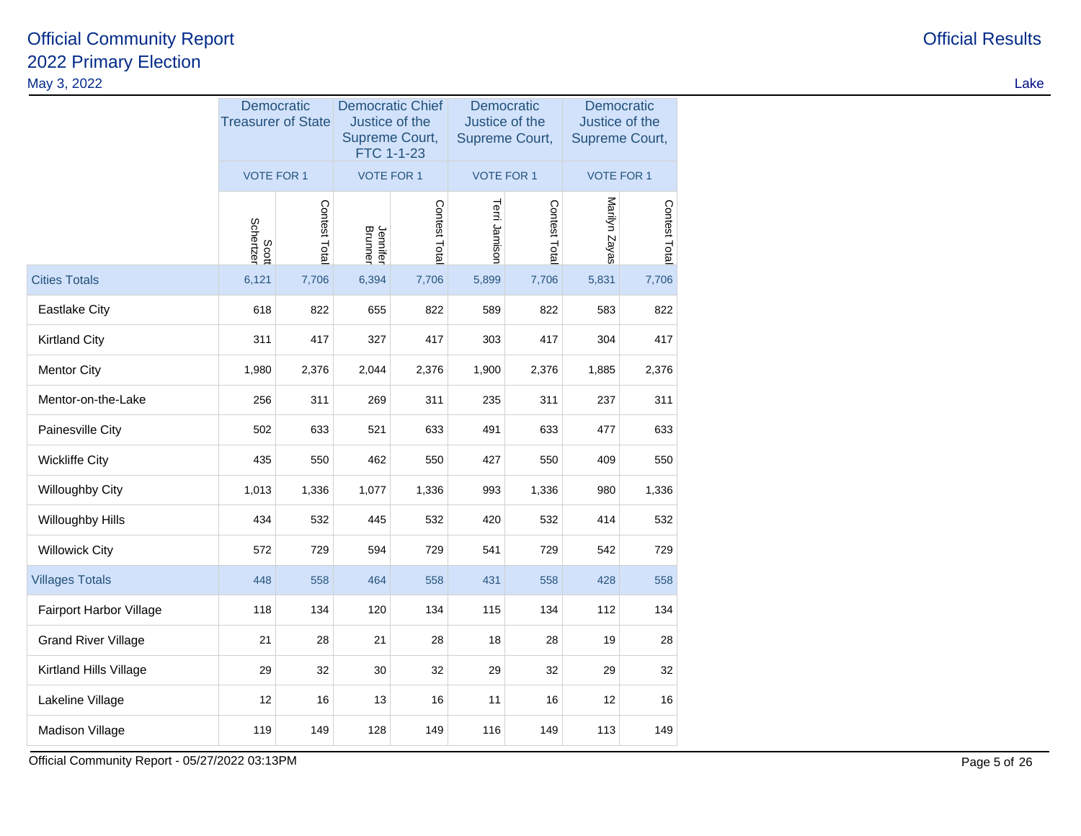| May 3, 2022                |                    |                                         |                     |                                                |               |                         |                                                |                   | Lake           |                              |  |
|----------------------------|--------------------|-----------------------------------------|---------------------|------------------------------------------------|---------------|-------------------------|------------------------------------------------|-------------------|----------------|------------------------------|--|
|                            |                    | Democratic<br><b>Treasurer of State</b> |                     | Justice of the<br>Supreme Court,<br>FTC 1-1-23 |               | <b>Democratic Chief</b> | Democratic<br>Justice of the<br>Supreme Court, |                   | Supreme Court, | Democratic<br>Justice of the |  |
|                            | VOTE FOR 1         |                                         | VOTE FOR 1          |                                                |               | <b>VOTE FOR 1</b>       |                                                | <b>VOTE FOR 1</b> |                |                              |  |
|                            | Scott<br>Schertzer | Contest Total                           | Jennifer<br>Brunner | Contest Total                                  | Terri Jamison | Contest Total           | Marilyn Zayas                                  | Contest Total     |                |                              |  |
| <b>Cities Totals</b>       | 6,121              | 7,706                                   | 6,394               | 7,706                                          | 5,899         | 7,706                   | 5,831                                          | 7,706             |                |                              |  |
| Eastlake City              | 618                | 822                                     | 655                 | 822                                            | 589           | 822                     | 583                                            | 822               |                |                              |  |
| <b>Kirtland City</b>       | 311                | 417                                     | 327                 | 417                                            | 303           | 417                     | 304                                            | 417               |                |                              |  |
| <b>Mentor City</b>         | 1,980              | 2,376                                   | 2,044               | 2,376                                          | 1,900         | 2,376                   | 1,885                                          | 2,376             |                |                              |  |
| Mentor-on-the-Lake         | 256                | 311                                     | 269                 | 311                                            | 235           | 311                     | 237                                            | 311               |                |                              |  |
| Painesville City           | 502                | 633                                     | 521                 | 633                                            | 491           | 633                     | 477                                            | 633               |                |                              |  |
| <b>Wickliffe City</b>      | 435                | 550                                     | 462                 | 550                                            | 427           | 550                     | 409                                            | 550               |                |                              |  |
| Willoughby City            | 1,013              | 1,336                                   | 1,077               | 1,336                                          | 993           | 1,336                   | 980                                            | 1,336             |                |                              |  |
| Willoughby Hills           | 434                | 532                                     | 445                 | 532                                            | 420           | 532                     | 414                                            | 532               |                |                              |  |
| <b>Willowick City</b>      | 572                | 729                                     | 594                 | 729                                            | 541           | 729                     | 542                                            | 729               |                |                              |  |
| <b>Villages Totals</b>     | 448                | 558                                     | 464                 | 558                                            | 431           | 558                     | 428                                            | 558               |                |                              |  |
| Fairport Harbor Village    | 118                | 134                                     | 120                 | 134                                            | 115           | 134                     | 112                                            | 134               |                |                              |  |
| <b>Grand River Village</b> | 21                 | 28                                      | 21                  | 28                                             | 18            | 28                      | 19                                             | 28                |                |                              |  |
| Kirtland Hills Village     | 29                 | 32                                      | 30                  | 32                                             | 29            | 32                      | 29                                             | 32                |                |                              |  |
| Lakeline Village           | 12                 | 16                                      | 13                  | 16                                             | 11            | 16                      | 12                                             | 16                |                |                              |  |
| Madison Village            | 119                | 149                                     | 128                 | 149                                            | 116           | 149                     | 113                                            | 149               |                |                              |  |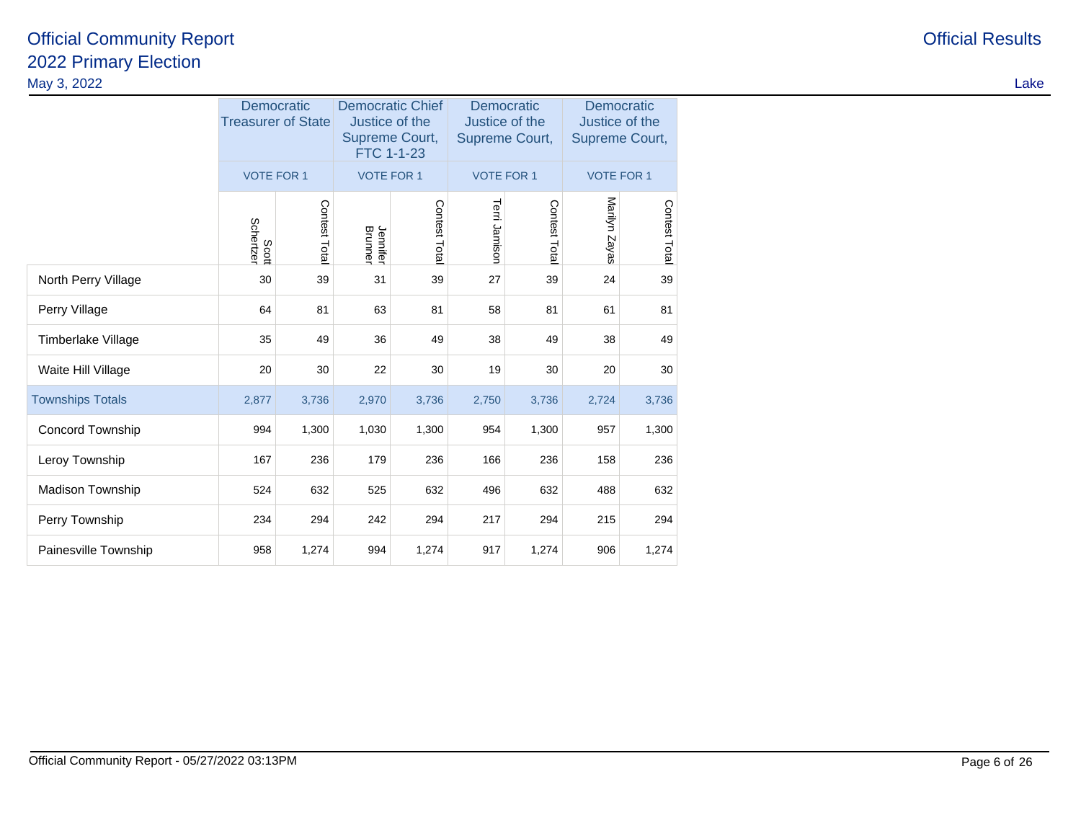|                         |                    | Democratic<br><b>Treasurer of State</b> | <b>Democratic Chief</b><br>Justice of the<br>Supreme Court,<br>FTC 1-1-23 |              | Democratic<br>Justice of the<br>Supreme Court, |              | Democratic<br>Justice of the<br>Supreme Court, |               |  |
|-------------------------|--------------------|-----------------------------------------|---------------------------------------------------------------------------|--------------|------------------------------------------------|--------------|------------------------------------------------|---------------|--|
|                         | <b>VOTE FOR 1</b>  |                                         | <b>VOTE FOR 1</b>                                                         |              | <b>VOTE FOR 1</b>                              |              | <b>VOTE FOR 1</b>                              |               |  |
|                         | Schertzer<br>Scott | Contest Tota                            | Jennifer<br>Brunner                                                       | Contest Tota | Terri Jamison                                  | Contest Tota | Marilyn Zayas                                  | Contest Total |  |
| North Perry Village     | 30                 | 39                                      | 31                                                                        | 39           | 27                                             | 39           | 24                                             | 39            |  |
| Perry Village           | 64                 | 81                                      | 63                                                                        | 81           | 58                                             | 81           | 61                                             | 81            |  |
| Timberlake Village      | 35                 | 49                                      | 36                                                                        | 49           | 38                                             | 49           | 38                                             | 49            |  |
| Waite Hill Village      | 20                 | 30                                      | 22                                                                        | 30           | 19                                             | 30           | 20                                             | 30            |  |
| <b>Townships Totals</b> | 2,877              | 3,736                                   | 2,970                                                                     | 3,736        | 2,750                                          | 3,736        | 2,724                                          | 3,736         |  |
| Concord Township        | 994                | 1,300                                   | 1,030                                                                     | 1,300        | 954                                            | 1,300        | 957                                            | 1,300         |  |
| Leroy Township          | 167                | 236                                     | 179                                                                       | 236          | 166                                            | 236          | 158                                            | 236           |  |
| Madison Township        | 524                | 632                                     | 525                                                                       | 632          | 496                                            | 632          | 488                                            | 632           |  |
| Perry Township          | 234                | 294                                     | 242                                                                       | 294          | 217                                            | 294          | 215                                            | 294           |  |
| Painesville Township    | 958                | 1,274                                   | 994                                                                       | 1,274        | 917                                            | 1,274        | 906                                            | 1,274         |  |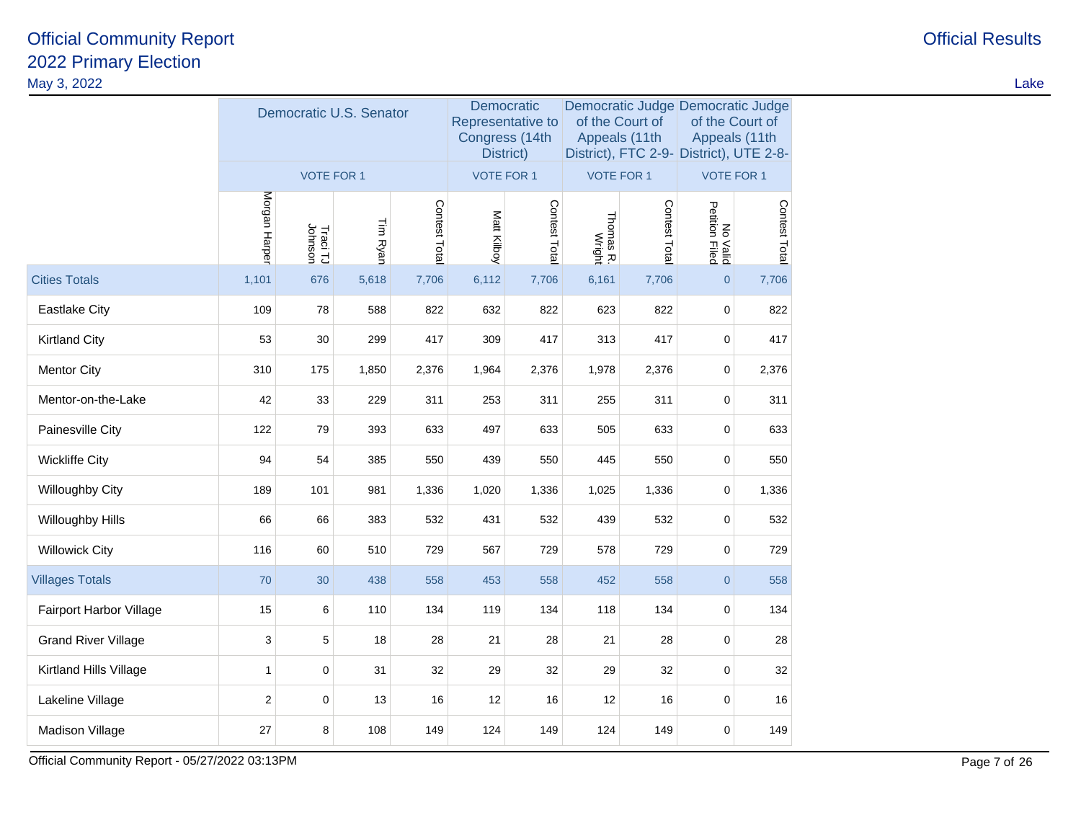| May 3, 2022                |               |                         |          |               |                                                                |               |                     |                                                                                                                  |                                         |                                  |  | Lake |
|----------------------------|---------------|-------------------------|----------|---------------|----------------------------------------------------------------|---------------|---------------------|------------------------------------------------------------------------------------------------------------------|-----------------------------------------|----------------------------------|--|------|
|                            |               | Democratic U.S. Senator |          |               | Democratic<br>Representative to<br>Congress (14th<br>District) |               |                     | Democratic Judge Democratic Judge<br>of the Court of<br>Appeals (11th<br>District), FTC 2-9- District), UTE 2-8- |                                         | of the Court of<br>Appeals (11th |  |      |
|                            |               | <b>VOTE FOR 1</b>       |          |               | <b>VOTE FOR 1</b>                                              |               | <b>VOTE FOR 1</b>   |                                                                                                                  | <b>VOTE FOR 1</b>                       |                                  |  |      |
|                            | Morgan Harper | Traci TJ<br>Johnson     | Tim Ryan | Contest Total | Matt Kilboy                                                    | Contest Total | Thomas R.<br>Wright | Contest Total                                                                                                    | No<br>Petition<br><b>Valid</b><br>Filed | Contest Total                    |  |      |
| <b>Cities Totals</b>       | 1,101         | 676                     | 5,618    | 7,706         | 6,112                                                          | 7,706         | 6,161               | 7,706                                                                                                            | $\overline{0}$                          | 7,706                            |  |      |
| <b>Eastlake City</b>       | 109           | 78                      | 588      | 822           | 632                                                            | 822           | 623                 | 822                                                                                                              | $\mathbf 0$                             | 822                              |  |      |
| <b>Kirtland City</b>       | 53            | 30                      | 299      | 417           | 309                                                            | 417           | 313                 | 417                                                                                                              | $\mathbf 0$                             | 417                              |  |      |
| <b>Mentor City</b>         | 310           | 175                     | 1,850    | 2,376         | 1,964                                                          | 2,376         | 1,978               | 2,376                                                                                                            | $\mathbf 0$                             | 2,376                            |  |      |
| Mentor-on-the-Lake         | 42            | 33                      | 229      | 311           | 253                                                            | 311           | 255                 | 311                                                                                                              | $\mathbf 0$                             | 311                              |  |      |
| Painesville City           | 122           | 79                      | 393      | 633           | 497                                                            | 633           | 505                 | 633                                                                                                              | $\mathbf 0$                             | 633                              |  |      |
| <b>Wickliffe City</b>      | 94            | 54                      | 385      | 550           | 439                                                            | 550           | 445                 | 550                                                                                                              | $\mathbf 0$                             | 550                              |  |      |
| Willoughby City            | 189           | 101                     | 981      | 1,336         | 1,020                                                          | 1,336         | 1,025               | 1,336                                                                                                            | $\mathbf 0$                             | 1,336                            |  |      |
| Willoughby Hills           | 66            | 66                      | 383      | 532           | 431                                                            | 532           | 439                 | 532                                                                                                              | $\mathbf 0$                             | 532                              |  |      |
| <b>Willowick City</b>      | 116           | 60                      | 510      | 729           | 567                                                            | 729           | 578                 | 729                                                                                                              | $\mathbf 0$                             | 729                              |  |      |
| <b>Villages Totals</b>     | 70            | 30                      | 438      | 558           | 453                                                            | 558           | 452                 | 558                                                                                                              | $\overline{0}$                          | 558                              |  |      |
| Fairport Harbor Village    | 15            | $\,6\,$                 | 110      | 134           | 119                                                            | 134           | 118                 | 134                                                                                                              | $\mathbf 0$                             | 134                              |  |      |
| <b>Grand River Village</b> | 3             | 5                       | 18       | 28            | 21                                                             | 28            | 21                  | 28                                                                                                               | $\mathbf 0$                             | 28                               |  |      |
| Kirtland Hills Village     | $\mathbf{1}$  | $\mathbf 0$             | 31       | 32            | 29                                                             | 32            | 29                  | 32                                                                                                               | $\mathbf 0$                             | 32                               |  |      |
| Lakeline Village           | 2             | $\mathbf 0$             | 13       | 16            | 12                                                             | 16            | 12                  | 16                                                                                                               | $\mathbf 0$                             | 16                               |  |      |
| Madison Village            | 27            | 8                       | 108      | 149           | 124                                                            | 149           | 124                 | 149                                                                                                              | $\Omega$                                | 149                              |  |      |
|                            |               |                         |          |               |                                                                |               |                     |                                                                                                                  |                                         |                                  |  |      |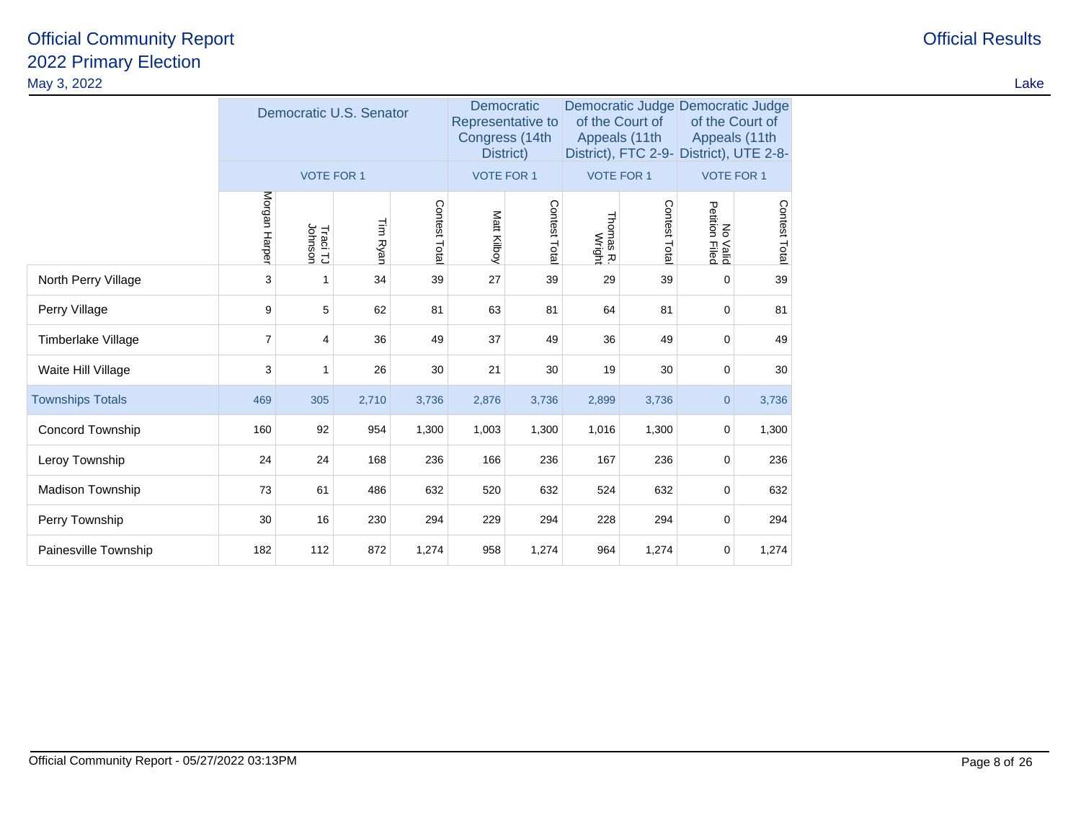| <b>STEP</b><br>۰, |  |
|-------------------|--|

|                         |                | Democratic U.S. Senator |          |              | Democratic<br>Congress (14th<br>District) | Representative to |                     | of the Court of<br>Appeals (11th | Democratic Judge Democratic Judge<br>of the Court of<br>Appeals (11th<br>District), FTC 2-9- District), UTE 2-8- |               |
|-------------------------|----------------|-------------------------|----------|--------------|-------------------------------------------|-------------------|---------------------|----------------------------------|------------------------------------------------------------------------------------------------------------------|---------------|
|                         |                | <b>VOTE FOR 1</b>       |          |              | <b>VOTE FOR 1</b>                         |                   | <b>VOTE FOR 1</b>   |                                  | <b>VOTE FOR 1</b>                                                                                                |               |
|                         | Morgan Harper  | Traci TJ<br>Johnson     | Tim Ryan | Contest Tota | Matt Kilboy                               | Contest Tota      | Thomas R.<br>Wright | Contest Tota                     | No<br>Petition<br><b>Valid</b><br>Filed                                                                          | Contest Total |
| North Perry Village     | 3              | 1                       | 34       | 39           | 27                                        | 39                | 29                  | 39                               | 0                                                                                                                | 39            |
| Perry Village           | 9              | 5                       | 62       | 81           | 63                                        | 81                | 64                  | 81                               | 0                                                                                                                | 81            |
| Timberlake Village      | $\overline{7}$ | 4                       | 36       | 49           | 37                                        | 49                | 36                  | 49                               | 0                                                                                                                | 49            |
| Waite Hill Village      | 3              | 1                       | 26       | 30           | 21                                        | 30                | 19                  | 30                               | 0                                                                                                                | 30            |
| <b>Townships Totals</b> | 469            | 305                     | 2,710    | 3,736        | 2,876                                     | 3,736             | 2,899               | 3,736                            | $\overline{0}$                                                                                                   | 3,736         |
| <b>Concord Township</b> | 160            | 92                      | 954      | 1,300        | 1,003                                     | 1,300             | 1,016               | 1,300                            | 0                                                                                                                | 1,300         |
| Leroy Township          | 24             | 24                      | 168      | 236          | 166                                       | 236               | 167                 | 236                              | 0                                                                                                                | 236           |
| Madison Township        | 73             | 61                      | 486      | 632          | 520                                       | 632               | 524                 | 632                              | 0                                                                                                                | 632           |
| Perry Township          | 30             | 16                      | 230      | 294          | 229                                       | 294               | 228                 | 294                              | 0                                                                                                                | 294           |
| Painesville Township    | 182            | 112                     | 872      | 1,274        | 958                                       | 1,274             | 964                 | 1,274                            | 0                                                                                                                | 1,274         |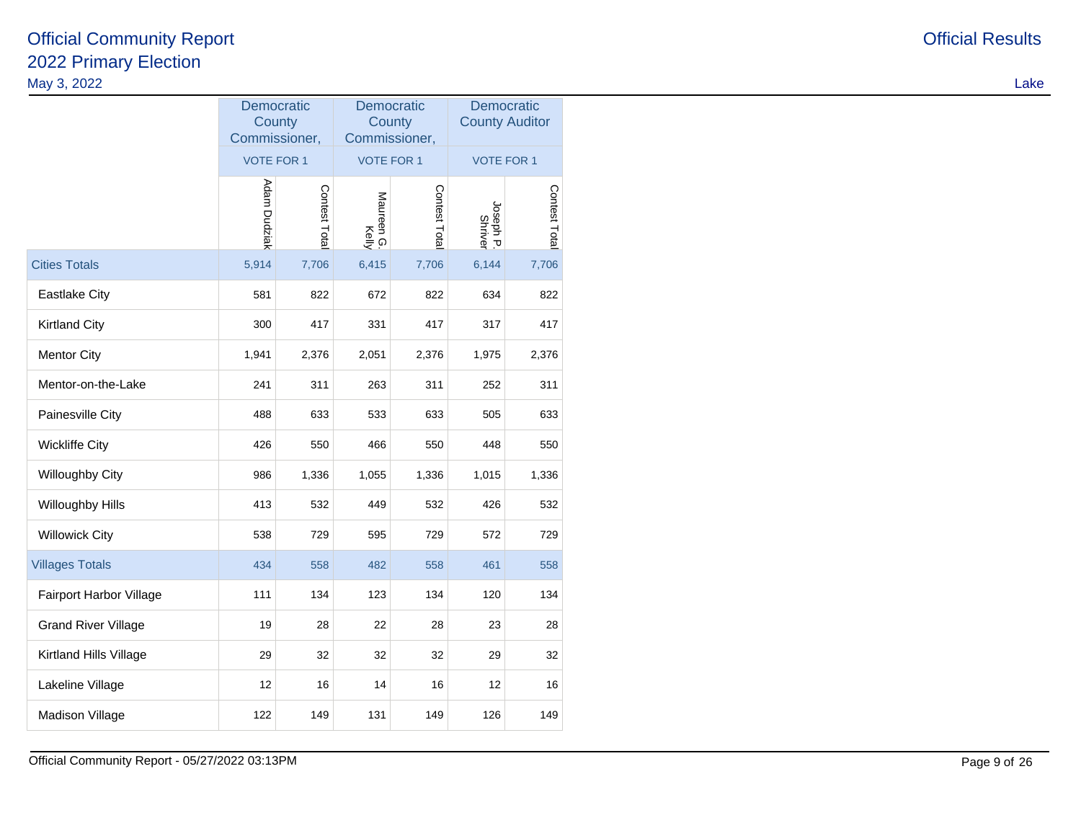| May 3, 2022                |                                       |               |                                       |               |                                     |               | Lake |
|----------------------------|---------------------------------------|---------------|---------------------------------------|---------------|-------------------------------------|---------------|------|
|                            | Democratic<br>County<br>Commissioner, |               | Democratic<br>County<br>Commissioner, |               | Democratic<br><b>County Auditor</b> |               |      |
|                            | <b>VOTE FOR 1</b>                     |               | <b>VOTE FOR 1</b>                     |               | VOTE FOR 1                          |               |      |
|                            | Adam Dudziak                          | Contest Total | Maureen G.<br>Kelly                   | Contest Total | Joseph P.<br>Shriver                | Contest Total |      |
| <b>Cities Totals</b>       | 5,914                                 | 7,706         | 6,415                                 | 7,706         | 6,144                               | 7,706         |      |
| <b>Eastlake City</b>       | 581                                   | 822           | 672                                   | 822           | 634                                 | 822           |      |
| <b>Kirtland City</b>       | 300                                   | 417           | 331                                   | 417           | 317                                 | 417           |      |
| <b>Mentor City</b>         | 1,941                                 | 2,376         | 2,051                                 | 2,376         | 1,975                               | 2,376         |      |
| Mentor-on-the-Lake         | 241                                   | 311           | 263                                   | 311           | 252                                 | 311           |      |
| Painesville City           | 488                                   | 633           | 533                                   | 633           | 505                                 | 633           |      |
| <b>Wickliffe City</b>      | 426                                   | 550           | 466                                   | 550           | 448                                 | 550           |      |
| Willoughby City            | 986                                   | 1,336         | 1,055                                 | 1,336         | 1,015                               | 1,336         |      |
| Willoughby Hills           | 413                                   | 532           | 449                                   | 532           | 426                                 | 532           |      |
| <b>Willowick City</b>      | 538                                   | 729           | 595                                   | 729           | 572                                 | 729           |      |
| <b>Villages Totals</b>     | 434                                   | 558           | 482                                   | 558           | 461                                 | 558           |      |
| Fairport Harbor Village    | 111                                   | 134           | 123                                   | 134           | 120                                 | 134           |      |
| <b>Grand River Village</b> | 19                                    | 28            | $22\,$                                | 28            | 23                                  | 28            |      |
| Kirtland Hills Village     | 29                                    | 32            | $32\,$                                | 32            | 29                                  | 32            |      |
| Lakeline Village           | 12                                    | 16            | 14                                    | 16            | 12                                  | 16            |      |
| Madison Village            | 122                                   | 149           | 131                                   | 149           | 126                                 | 149           |      |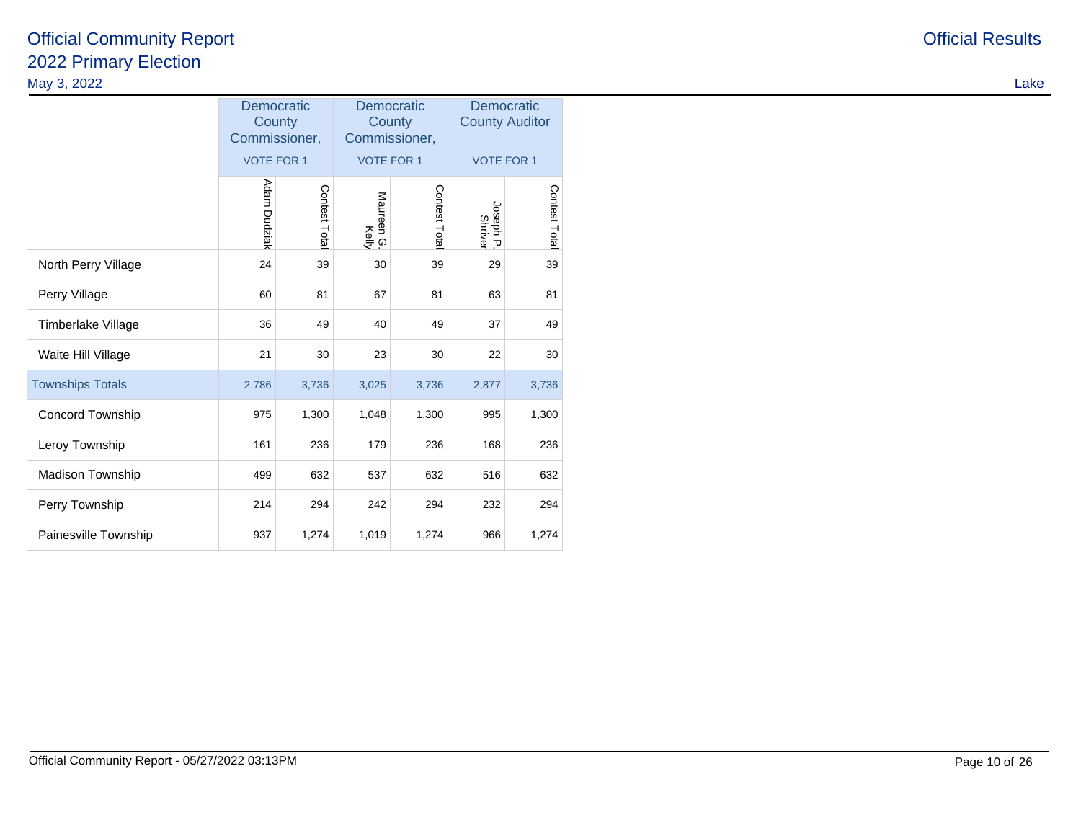|                         | <b>Democratic</b><br>County<br>Commissioner, |              | <b>Democratic</b><br>County<br>Commissioner, |              | Democratic<br><b>County Auditor</b> |               |  |
|-------------------------|----------------------------------------------|--------------|----------------------------------------------|--------------|-------------------------------------|---------------|--|
|                         | <b>VOTE FOR 1</b>                            |              | <b>VOTE FOR 1</b>                            |              | <b>VOTE FOR 1</b>                   |               |  |
|                         | Adam Dudziak                                 | Contest Tota | Maureen G.<br>Kelly                          | Contest Tota | Joseph P.<br>Shriver                | Contest Total |  |
| North Perry Village     | 24                                           | 39           | 30                                           | 39           | 29                                  | 39            |  |
| Perry Village           | 60                                           | 81           | 67                                           | 81           | 63                                  | 81            |  |
| Timberlake Village      | 36                                           | 49           | 40                                           | 49           | 37                                  | 49            |  |
| Waite Hill Village      | 21                                           | 30           | 23                                           | 30           | 22                                  | 30            |  |
| <b>Townships Totals</b> | 2,786                                        | 3,736        | 3,025                                        | 3,736        | 2,877                               | 3,736         |  |
| Concord Township        | 975                                          | 1,300        | 1,048                                        | 1,300        | 995                                 | 1,300         |  |
| Leroy Township          | 161                                          | 236          | 179                                          | 236          | 168                                 | 236           |  |
| Madison Township        | 499                                          | 632          | 537                                          | 632          | 516                                 | 632           |  |
| Perry Township          | 214                                          | 294          | 242                                          | 294          | 232                                 | 294           |  |
| Painesville Township    | 937                                          | 1,274        | 1,019                                        | 1,274        | 966                                 | 1,274         |  |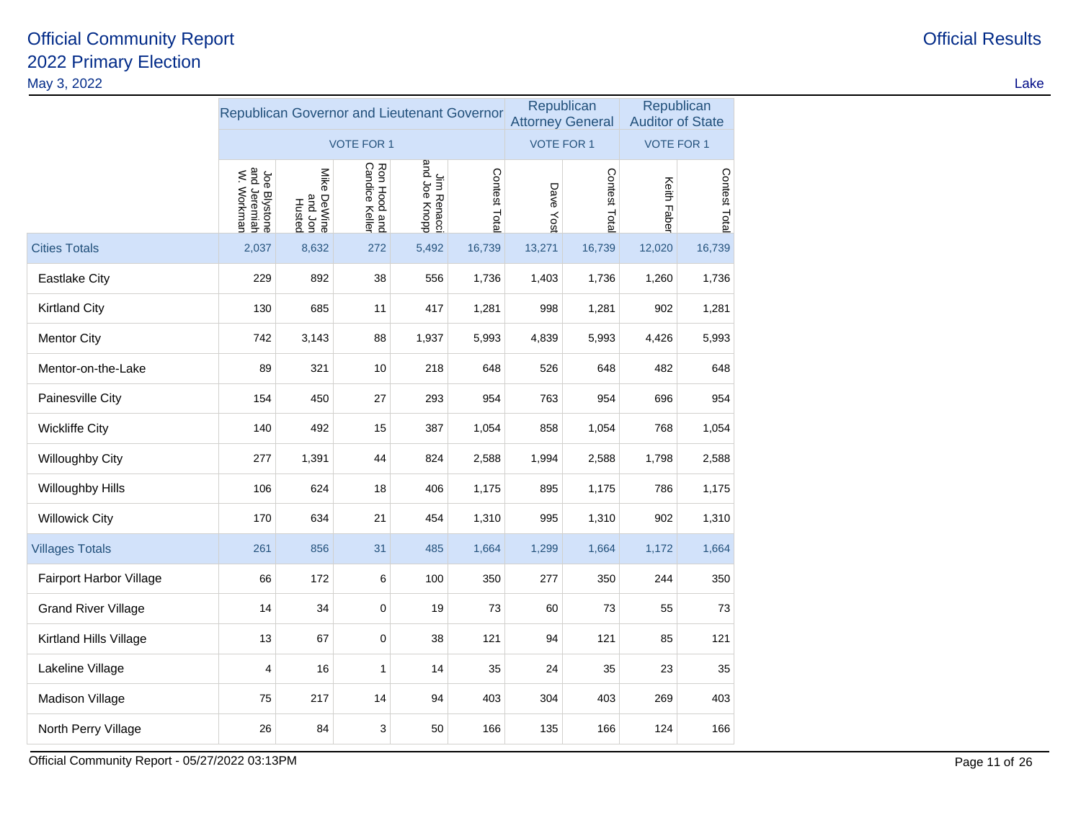| May 3, 2022                |                                             |                                            |                                |                              |               |           |                                       |                                       |               | Lake |
|----------------------------|---------------------------------------------|--------------------------------------------|--------------------------------|------------------------------|---------------|-----------|---------------------------------------|---------------------------------------|---------------|------|
|                            | Republican Governor and Lieutenant Governor |                                            |                                |                              |               |           | Republican<br><b>Attorney General</b> | Republican<br><b>Auditor of State</b> |               |      |
|                            |                                             |                                            | <b>VOTE FOR 1</b>              |                              |               |           | <b>VOTE FOR 1</b>                     | <b>VOTE FOR 1</b>                     |               |      |
|                            | Joe Blystone<br>and Jeremiah<br>W. Workman  | Mike<br><b>PeWine</b><br>and Jon<br>Husted | Ron Hood and<br>Candice Keller | Jim Renacci<br>and Joe Knopp | Contest Total | Dave Yost | Contest Total                         | Keith Faber                           | Contest Total |      |
| <b>Cities Totals</b>       | 2,037                                       | 8,632                                      | 272                            | 5,492                        | 16,739        | 13,271    | 16,739                                | 12,020                                | 16,739        |      |
| <b>Eastlake City</b>       | 229                                         | 892                                        | 38                             | 556                          | 1,736         | 1,403     | 1,736                                 | 1,260                                 | 1,736         |      |
| <b>Kirtland City</b>       | 130                                         | 685                                        | 11                             | 417                          | 1,281         | 998       | 1,281                                 | 902                                   | 1,281         |      |
| <b>Mentor City</b>         | 742                                         | 3,143                                      | 88                             | 1,937                        | 5,993         | 4,839     | 5,993                                 | 4,426                                 | 5,993         |      |
| Mentor-on-the-Lake         | 89                                          | 321                                        | 10                             | 218                          | 648           | 526       | 648                                   | 482                                   | 648           |      |
| Painesville City           | 154                                         | 450                                        | 27                             | 293                          | 954           | 763       | 954                                   | 696                                   | 954           |      |
| <b>Wickliffe City</b>      | 140                                         | 492                                        | 15                             | 387                          | 1,054         | 858       | 1,054                                 | 768                                   | 1,054         |      |
| Willoughby City            | 277                                         | 1,391                                      | 44                             | 824                          | 2,588         | 1,994     | 2,588                                 | 1,798                                 | 2,588         |      |
| Willoughby Hills           | 106                                         | 624                                        | 18                             | 406                          | 1,175         | 895       | 1,175                                 | 786                                   | 1,175         |      |
| <b>Willowick City</b>      | 170                                         | 634                                        | 21                             | 454                          | 1,310         | 995       | 1,310                                 | 902                                   | 1,310         |      |
| <b>Villages Totals</b>     | 261                                         | 856                                        | 31                             | 485                          | 1,664         | 1,299     | 1,664                                 | 1,172                                 | 1,664         |      |
| Fairport Harbor Village    | 66                                          | 172                                        | 6                              | 100                          | 350           | 277       | 350                                   | 244                                   | 350           |      |
| <b>Grand River Village</b> | 14                                          | 34                                         | $\mathbf 0$                    | 19                           | 73            | 60        | 73                                    | 55                                    | 73            |      |
| Kirtland Hills Village     | 13                                          | 67                                         | $\pmb{0}$                      | 38                           | 121           | 94        | 121                                   | 85                                    | 121           |      |
| Lakeline Village           | 4                                           | 16                                         | 1                              | 14                           | 35            | 24        | 35                                    | 23                                    | 35            |      |
| <b>Madison Village</b>     | 75                                          | 217                                        | 14                             | 94                           | 403           | 304       | 403                                   | 269                                   | 403           |      |
| North Perry Village        | 26                                          | 84                                         | 3                              | 50                           | 166           | 135       | 166                                   | 124                                   | 166           |      |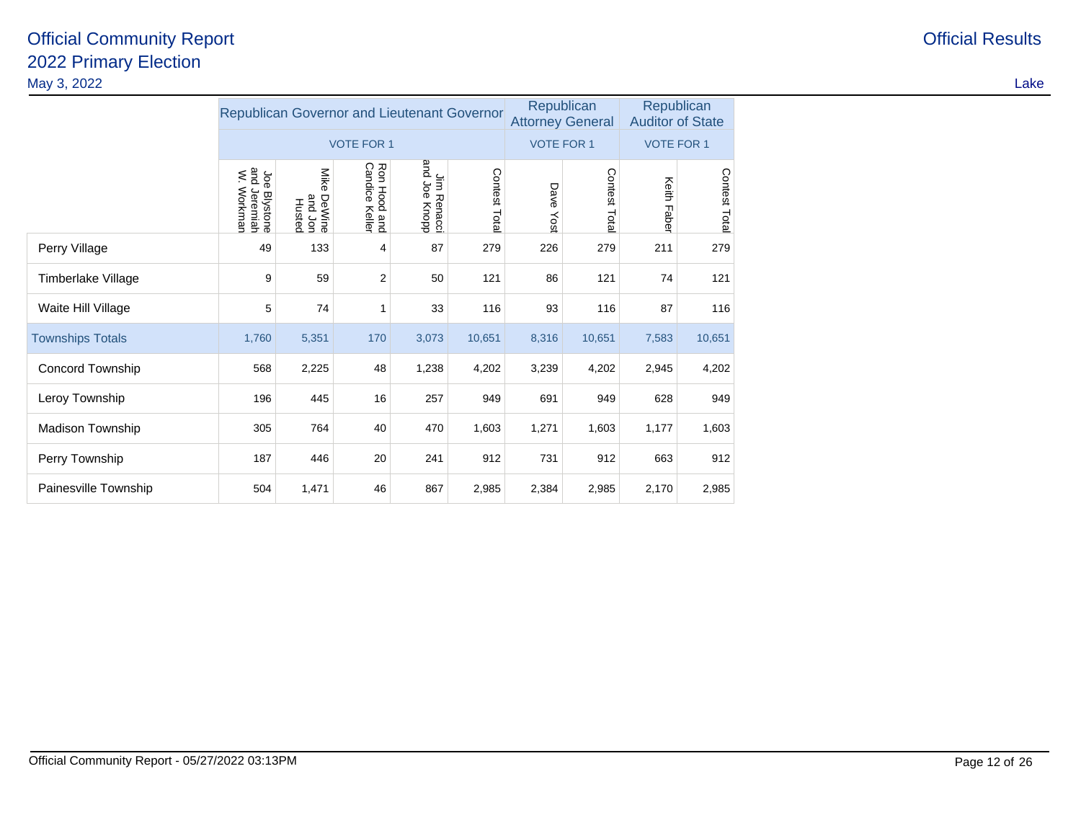|                         | Republican Governor and Lieutenant Governor |                                     |                                |                              |               |                   | Republican<br><b>Attorney General</b> | Republican<br><b>Auditor of State</b> |               |  |
|-------------------------|---------------------------------------------|-------------------------------------|--------------------------------|------------------------------|---------------|-------------------|---------------------------------------|---------------------------------------|---------------|--|
|                         |                                             |                                     | <b>VOTE FOR 1</b>              |                              |               | <b>VOTE FOR 1</b> |                                       | <b>VOTE FOR 1</b>                     |               |  |
|                         | Joe Blystone<br>and Jeremiah<br>W. Workman  | Mike<br>DeWine<br>and Jon<br>Husted | Ron Hood and<br>Candice Keller | Jim Renacci<br>and Joe Knopp | Contest Total | Dave<br>Yost      | Contest Total                         | Keith Faber                           | Contest Total |  |
| Perry Village           | 49                                          | 133                                 | 4                              | 87                           | 279           | 226               | 279                                   | 211                                   | 279           |  |
| Timberlake Village      | 9                                           | 59                                  | 2                              | 50                           | 121           | 86                | 121                                   | 74                                    | 121           |  |
| Waite Hill Village      | 5                                           | 74                                  | 1                              | 33                           | 116           | 93                | 116                                   | 87                                    | 116           |  |
| <b>Townships Totals</b> | 1,760                                       | 5,351                               | 170                            | 3,073                        | 10,651        | 8,316             | 10,651                                | 7,583                                 | 10,651        |  |
| Concord Township        | 568                                         | 2,225                               | 48                             | 1,238                        | 4,202         | 3,239             | 4,202                                 | 2,945                                 | 4,202         |  |
| Leroy Township          | 196                                         | 445                                 | 16                             | 257                          | 949           | 691               | 949                                   | 628                                   | 949           |  |
| Madison Township        | 305                                         | 764                                 | 40                             | 470                          | 1,603         | 1,271             | 1,603                                 | 1,177                                 | 1,603         |  |
| Perry Township          | 187                                         | 446                                 | 20                             | 241                          | 912           | 731               | 912                                   | 663                                   | 912           |  |
| Painesville Township    | 504                                         | 1,471                               | 46                             | 867                          | 2,985         | 2,384             | 2,985                                 | 2,170                                 | 2,985         |  |

**Official Results**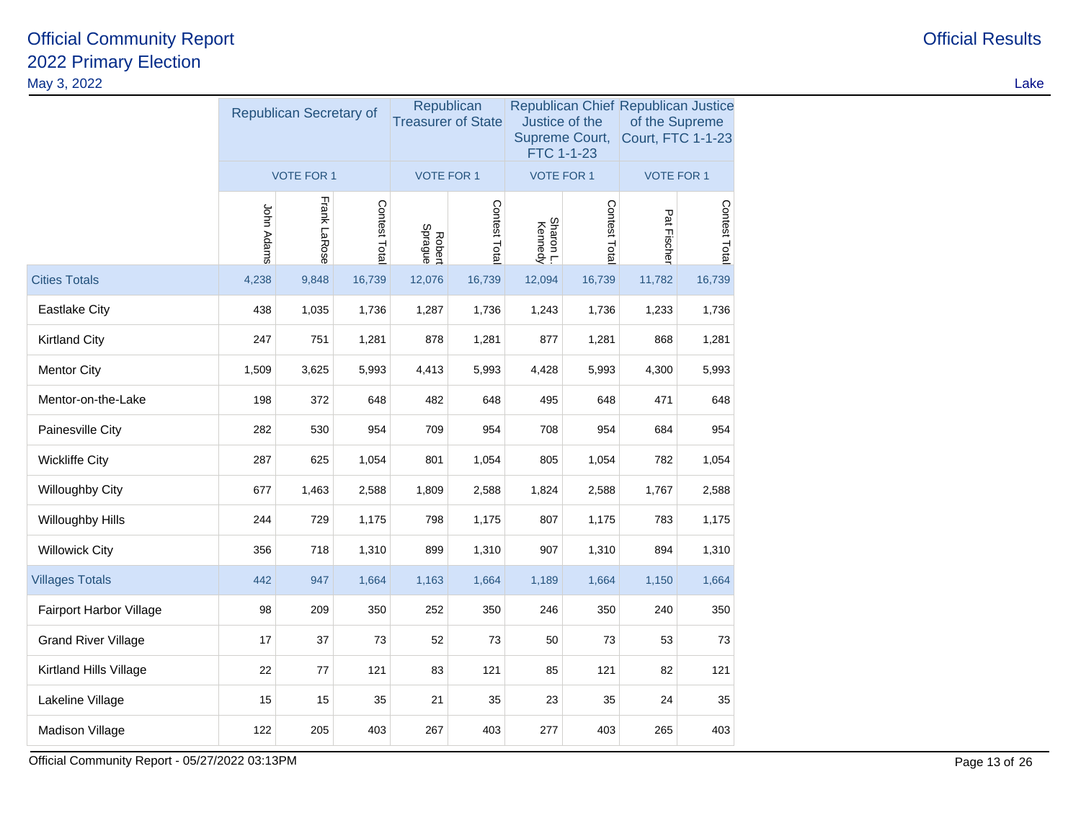|                            |            | Republican Secretary of |               | Republican<br><b>Treasurer of State</b> |               | Justice of the<br><b>FTC 1-1-23</b> | Supreme Court, | Republican Chief Republican Justice<br>of the Supreme<br><b>Court, FTC 1-1-23</b> |               |  |
|----------------------------|------------|-------------------------|---------------|-----------------------------------------|---------------|-------------------------------------|----------------|-----------------------------------------------------------------------------------|---------------|--|
|                            |            | <b>VOTE FOR 1</b>       |               | <b>VOTE FOR 1</b>                       |               | <b>VOTE FOR 1</b>                   |                | <b>VOTE FOR 1</b>                                                                 |               |  |
|                            | John Adams | Frank LaRose            | Contest Total | Robert<br>Sprague                       | Contest Total | Sharon L.<br>Kennedy                | Contest Total  | Pat Fischer                                                                       | Contest Total |  |
| <b>Cities Totals</b>       | 4,238      | 9,848                   | 16,739        | 12,076                                  | 16,739        | 12,094                              | 16,739         | 11,782                                                                            | 16,739        |  |
| <b>Eastlake City</b>       | 438        | 1,035                   | 1,736         | 1,287                                   | 1,736         | 1,243                               | 1,736          | 1,233                                                                             | 1,736         |  |
| <b>Kirtland City</b>       | 247        | 751                     | 1,281         | 878                                     | 1,281         | 877                                 | 1,281          | 868                                                                               | 1,281         |  |
| <b>Mentor City</b>         | 1,509      | 3,625                   | 5,993         | 4,413                                   | 5,993         | 4,428                               | 5,993          | 4,300                                                                             | 5,993         |  |
| Mentor-on-the-Lake         | 198        | 372                     | 648           | 482                                     | 648           | 495                                 | 648            | 471                                                                               | 648           |  |
| Painesville City           | 282        | 530                     | 954           | 709                                     | 954           | 708                                 | 954            | 684                                                                               | 954           |  |
| <b>Wickliffe City</b>      | 287        | 625                     | 1,054         | 801                                     | 1,054         | 805                                 | 1,054          | 782                                                                               | 1,054         |  |
| <b>Willoughby City</b>     | 677        | 1,463                   | 2,588         | 1,809                                   | 2,588         | 1,824                               | 2,588          | 1,767                                                                             | 2,588         |  |
| Willoughby Hills           | 244        | 729                     | 1,175         | 798                                     | 1,175         | 807                                 | 1,175          | 783                                                                               | 1,175         |  |
| <b>Willowick City</b>      | 356        | 718                     | 1,310         | 899                                     | 1,310         | 907                                 | 1,310          | 894                                                                               | 1,310         |  |
| <b>Villages Totals</b>     | 442        | 947                     | 1,664         | 1,163                                   | 1,664         | 1,189                               | 1,664          | 1,150                                                                             | 1,664         |  |
| Fairport Harbor Village    | 98         | 209                     | 350           | 252                                     | 350           | 246                                 | 350            | 240                                                                               | 350           |  |
| <b>Grand River Village</b> | 17         | 37                      | 73            | 52                                      | 73            | 50                                  | 73             | 53                                                                                | 73            |  |
| Kirtland Hills Village     | 22         | 77                      | 121           | 83                                      | 121           | 85                                  | 121            | 82                                                                                | 121           |  |
| Lakeline Village           | 15         | 15                      | 35            | 21                                      | 35            | 23                                  | 35             | 24                                                                                | 35            |  |
| Madison Village            | 122        | 205                     | 403           | 267                                     | 403           | 277                                 | 403            | 265                                                                               | 403           |  |

Official Community Report - 05/27/2022 03:13PM

M<sub>c</sub> Page 13 of 26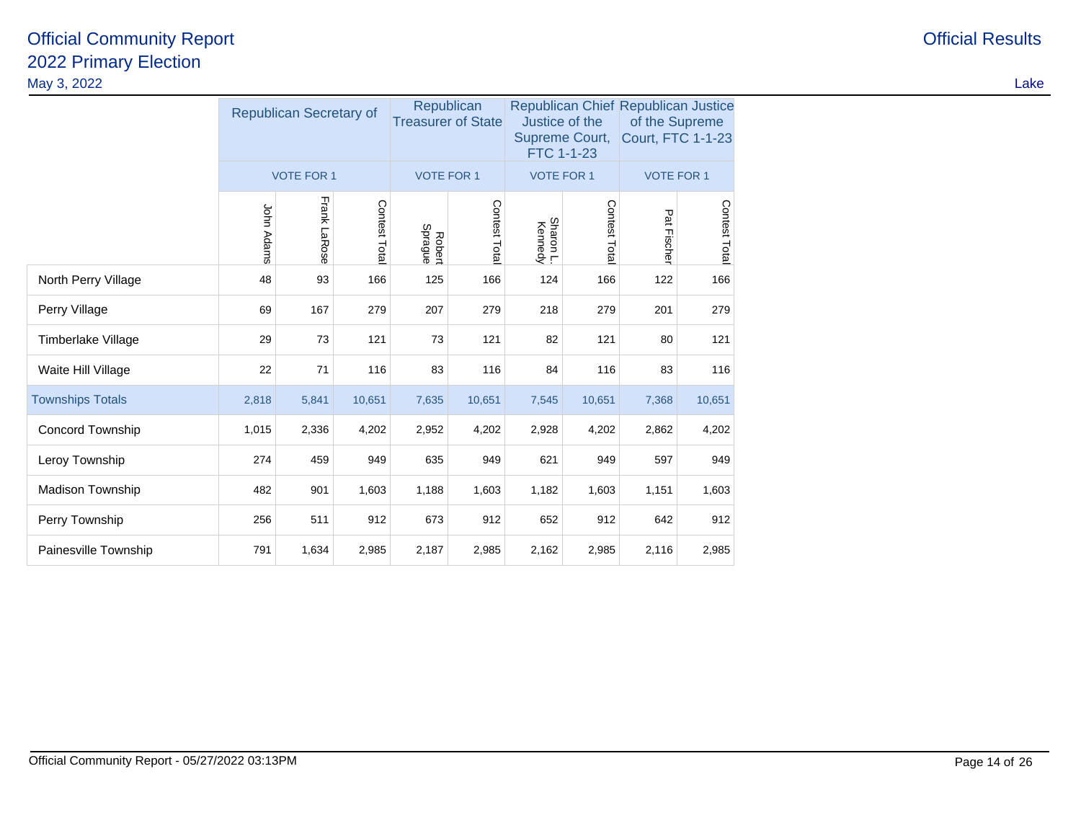|                         |            | Republican Secretary of |              | Republican<br><b>Treasurer of State</b> |              | Justice of the<br>Supreme Court,<br>FTC 1-1-23 |              | Republican Chief Republican Justice<br>of the Supreme<br><b>Court, FTC 1-1-23</b> |              |  |
|-------------------------|------------|-------------------------|--------------|-----------------------------------------|--------------|------------------------------------------------|--------------|-----------------------------------------------------------------------------------|--------------|--|
|                         |            | <b>VOTE FOR 1</b>       |              | <b>VOTE FOR 1</b>                       |              | <b>VOTE FOR 1</b>                              |              | <b>VOTE FOR 1</b>                                                                 |              |  |
|                         | John Adams | Frank LaRose            | Contest Tota | Robert<br>Sprague                       | Contest Tota | Sharon L.<br>Kennedy                           | Contest Tota | Pat Fische                                                                        | Contest Tota |  |
| North Perry Village     | 48         | 93                      | 166          | 125                                     | 166          | 124                                            | 166          | 122                                                                               | 166          |  |
| Perry Village           | 69         | 167                     | 279          | 207                                     | 279          | 218                                            | 279          | 201                                                                               | 279          |  |
| Timberlake Village      | 29         | 73                      | 121          | 73                                      | 121          | 82                                             | 121          | 80                                                                                | 121          |  |
| Waite Hill Village      | 22         | 71                      | 116          | 83                                      | 116          | 84                                             | 116          | 83                                                                                | 116          |  |
| <b>Townships Totals</b> | 2,818      | 5,841                   | 10,651       | 7,635                                   | 10,651       | 7,545                                          | 10,651       | 7,368                                                                             | 10,651       |  |
| Concord Township        | 1,015      | 2,336                   | 4,202        | 2,952                                   | 4,202        | 2,928                                          | 4,202        | 2,862                                                                             | 4,202        |  |
| Leroy Township          | 274        | 459                     | 949          | 635                                     | 949          | 621                                            | 949          | 597                                                                               | 949          |  |
| Madison Township        | 482        | 901                     | 1,603        | 1,188                                   | 1,603        | 1,182                                          | 1,603        | 1,151                                                                             | 1,603        |  |
| Perry Township          | 256        | 511                     | 912          | 673                                     | 912          | 652                                            | 912          | 642                                                                               | 912          |  |
| Painesville Township    | 791        | 1,634                   | 2,985        | 2,187                                   | 2,985        | 2,162                                          | 2,985        | 2,116                                                                             | 2,985        |  |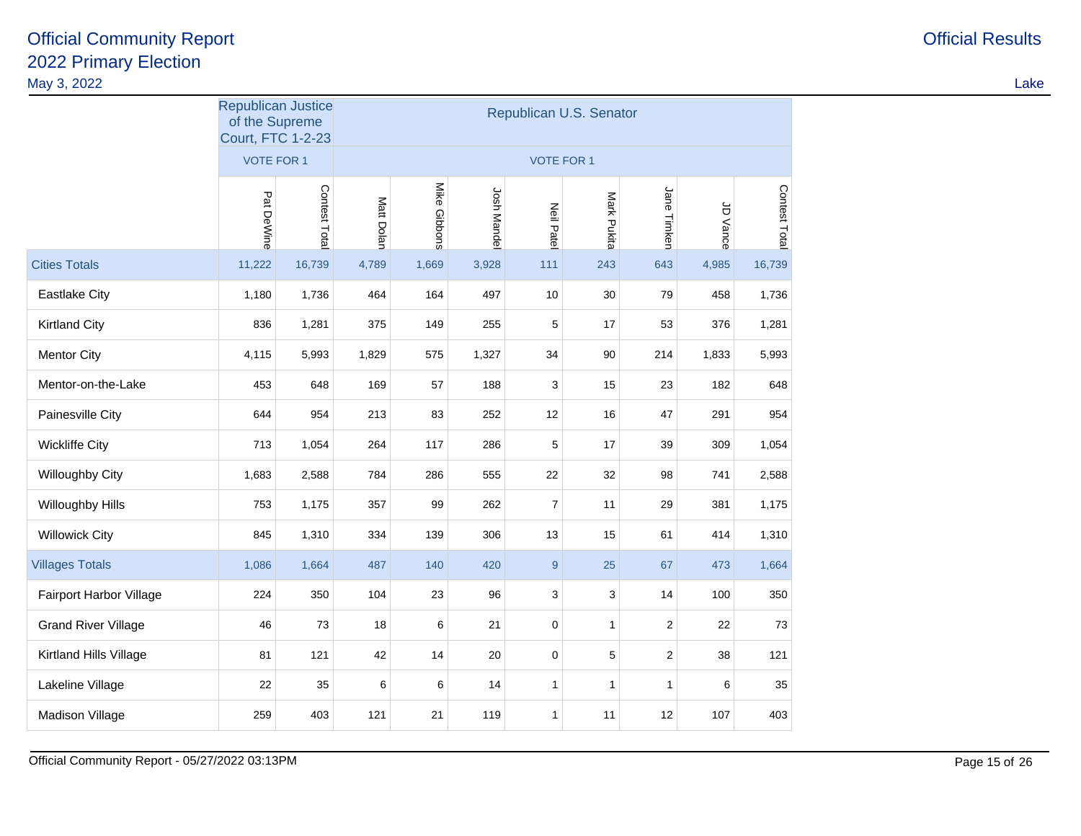Cities Totals

Villages Totals

Grand River Village

Kirtland Hills Village

Lakeline Village

Madison Village

| lay 3, 2022             |                                                                         |              |            |              |             |                   |                         |             |            |               | Lake |
|-------------------------|-------------------------------------------------------------------------|--------------|------------|--------------|-------------|-------------------|-------------------------|-------------|------------|---------------|------|
|                         | <b>Republican Justice</b><br>of the Supreme<br><b>Court, FTC 1-2-23</b> |              |            |              |             |                   | Republican U.S. Senator |             |            |               |      |
|                         | <b>VOTE FOR 1</b>                                                       |              |            |              |             | <b>VOTE FOR 1</b> |                         |             |            |               |      |
|                         | Pat DeWine                                                              | Contest Tota | Matt Dolan | Mike Gibbons | Josh Mandel | <b>Neil Patel</b> | Mark Pukita             | Jane Timken | à<br>Vance | Contest Total |      |
| <b>Cities Totals</b>    | 11,222                                                                  | 16,739       | 4,789      | 1,669        | 3,928       | $111$             | 243                     | 643         | 4,985      | 16,739        |      |
| <b>Eastlake City</b>    | 1,180                                                                   | 1,736        | 464        | 164          | 497         | 10                | $30\,$                  | 79          | 458        | 1,736         |      |
| <b>Kirtland City</b>    | 836                                                                     | 1,281        | 375        | 149          | 255         | 5                 | 17                      | 53          | 376        | 1,281         |      |
| <b>Mentor City</b>      | 4,115                                                                   | 5,993        | 1,829      | 575          | 1,327       | 34                | 90                      | 214         | 1,833      | 5,993         |      |
| Mentor-on-the-Lake      | 453                                                                     | 648          | 169        | 57           | 188         | 3                 | 15                      | 23          | 182        | 648           |      |
| Painesville City        | 644                                                                     | 954          | 213        | 83           | 252         | 12                | 16                      | 47          | 291        | 954           |      |
| <b>Wickliffe City</b>   | 713                                                                     | 1,054        | 264        | 117          | 286         | 5                 | 17                      | 39          | 309        | 1,054         |      |
| Willoughby City         | 1,683                                                                   | 2,588        | 784        | 286          | 555         | 22                | 32                      | 98          | 741        | 2,588         |      |
| Willoughby Hills        | 753                                                                     | 1,175        | 357        | 99           | 262         | $\overline{7}$    | 11                      | 29          | 381        | 1,175         |      |
| <b>Willowick City</b>   | 845                                                                     | 1,310        | 334        | 139          | 306         | 13                | 15                      | 61          | 414        | 1,310         |      |
| <b>Villages Totals</b>  | 1,086                                                                   | 1,664        | 487        | 140          | 420         | 9                 | 25                      | 67          | 473        | 1,664         |      |
| Fairport Harbor Village | 224                                                                     | 350          | 104        | 23           | 96          | 3                 | 3                       | 14          | 100        | 350           |      |

e 46 73 18 6 21 0 1 2 22 73

<sup>81</sup> <sup>121</sup> <sup>42</sup> <sup>14</sup> <sup>20</sup> <sup>0</sup> <sup>5</sup> <sup>2</sup> <sup>38</sup> <sup>121</sup>

<sup>22</sup> <sup>35</sup> <sup>6</sup> <sup>6</sup> <sup>14</sup> <sup>1</sup> <sup>1</sup> <sup>1</sup> <sup>6</sup> <sup>35</sup>

<sup>259</sup> <sup>403</sup> <sup>121</sup> <sup>21</sup> <sup>119</sup> <sup>1</sup> <sup>11</sup> <sup>12</sup> <sup>107</sup> <sup>403</sup>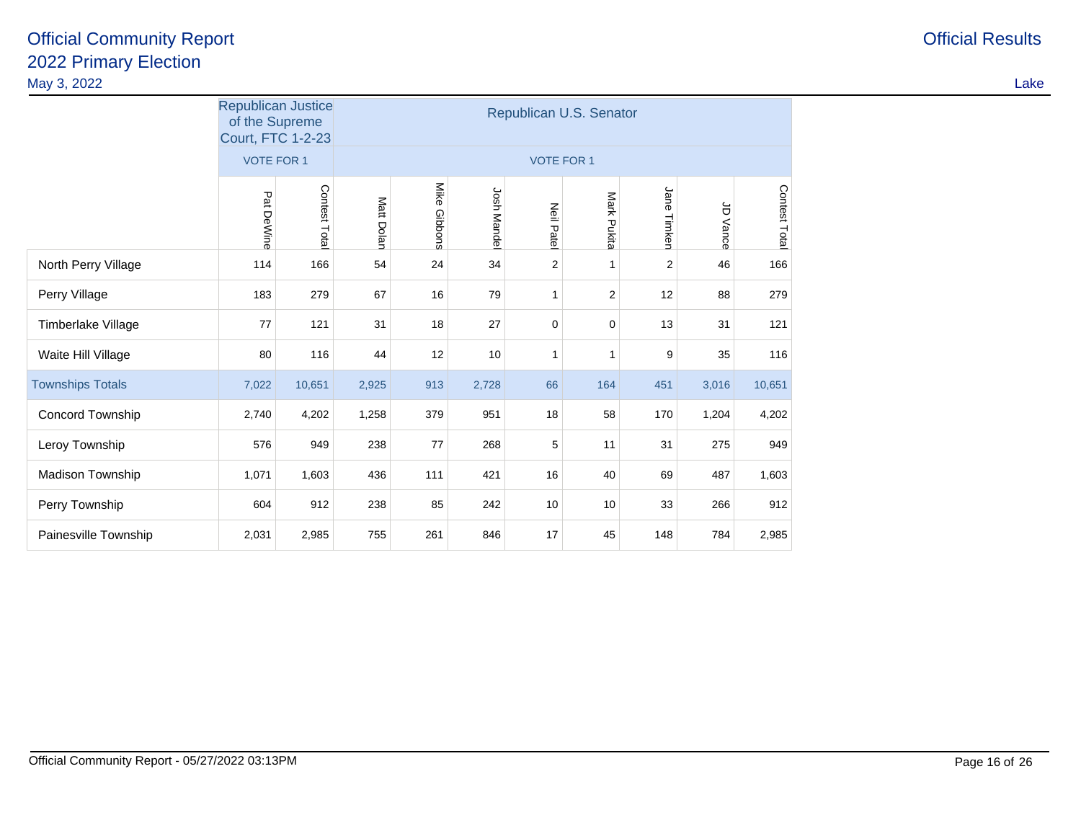|                         | <b>Republican Justice</b><br>of the Supreme<br><b>Court, FTC 1-2-23</b> |                   | Republican U.S. Senator |              |                    |                   |              |                |                                   |               |  |  |
|-------------------------|-------------------------------------------------------------------------|-------------------|-------------------------|--------------|--------------------|-------------------|--------------|----------------|-----------------------------------|---------------|--|--|
|                         |                                                                         | <b>VOTE FOR 1</b> |                         |              |                    | <b>VOTE FOR 1</b> |              |                |                                   |               |  |  |
|                         | Pat DeWine                                                              | Contest Total     | Matt Dolan              | Mike Gibbons | <b>Josh Mandel</b> | <b>Neil Patel</b> | Mark Pukita  | Jane<br>Timken | $\overleftarrow{\sigma}$<br>Vance | Contest Total |  |  |
| North Perry Village     | 114                                                                     | 166               | 54                      | 24           | 34                 | $\overline{2}$    | 1            | $\overline{2}$ | 46                                | 166           |  |  |
| Perry Village           | 183                                                                     | 279               | 67                      | 16           | 79                 | 1                 | 2            | 12             | 88                                | 279           |  |  |
| Timberlake Village      | 77                                                                      | 121               | 31                      | 18           | 27                 | $\mathbf 0$       | $\mathbf 0$  | 13             | 31                                | 121           |  |  |
| Waite Hill Village      | 80                                                                      | 116               | 44                      | 12           | 10                 | $\mathbf{1}$      | $\mathbf{1}$ | 9              | 35                                | 116           |  |  |
| <b>Townships Totals</b> | 7,022                                                                   | 10,651            | 2,925                   | 913          | 2,728              | 66                | 164          | 451            | 3,016                             | 10,651        |  |  |
| Concord Township        | 2,740                                                                   | 4,202             | 1,258                   | 379          | 951                | 18                | 58           | 170            | 1,204                             | 4,202         |  |  |
| Leroy Township          | 576                                                                     | 949               | 238                     | 77           | 268                | 5                 | 11           | 31             | 275                               | 949           |  |  |
| Madison Township        | 1,071                                                                   | 1,603             | 436                     | 111          | 421                | 16                | 40           | 69             | 487                               | 1,603         |  |  |
| Perry Township          | 604                                                                     | 912               | 238                     | 85           | 242                | 10                | 10           | 33             | 266                               | 912           |  |  |
| Painesville Township    | 2,031                                                                   | 2,985             | 755                     | 261          | 846                | 17                | 45           | 148            | 784                               | 2,985         |  |  |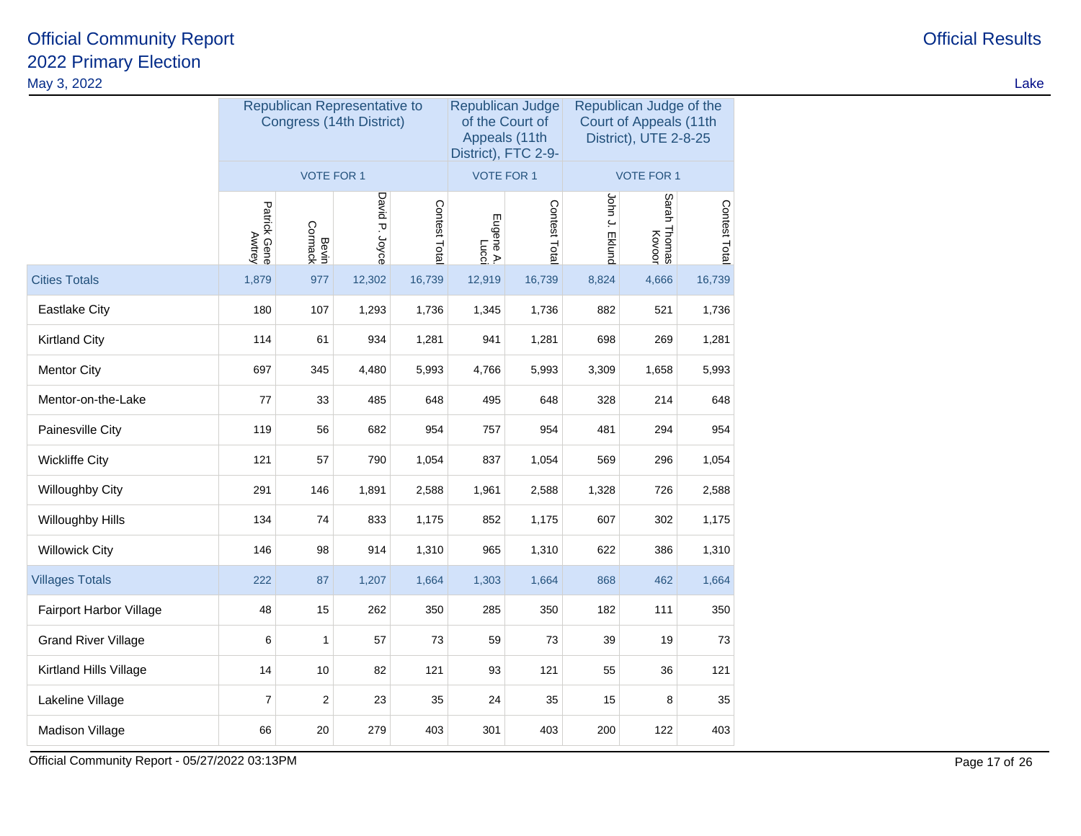| May 3, 2022                |                                                                     |                                                          |        |        |                                                                             |               |                |                                                                            |               | Lake |
|----------------------------|---------------------------------------------------------------------|----------------------------------------------------------|--------|--------|-----------------------------------------------------------------------------|---------------|----------------|----------------------------------------------------------------------------|---------------|------|
|                            |                                                                     | Republican Representative to<br>Congress (14th District) |        |        | Republican Judge<br>of the Court of<br>Appeals (11th<br>District), FTC 2-9- |               |                | Republican Judge of the<br>Court of Appeals (11th<br>District), UTE 2-8-25 |               |      |
|                            |                                                                     | <b>VOTE FOR 1</b>                                        |        |        | <b>VOTE FOR 1</b>                                                           |               |                | <b>VOTE FOR 1</b>                                                          |               |      |
|                            | David P. Joyce<br>Contest Total<br>Patrick Gene<br>Bevin<br>Cormack |                                                          |        |        | Eugene A.<br>Lucci                                                          | Contest Total | John J. Eklund | Sarah<br>Thomas<br>Kovoor                                                  | Contest Total |      |
| <b>Cities Totals</b>       | 1,879                                                               | 977                                                      | 12,302 | 16,739 | 12,919                                                                      | 16,739        | 8,824          | 4,666                                                                      | 16,739        |      |
| <b>Eastlake City</b>       | 180                                                                 | 107                                                      | 1,293  | 1,736  | 1,345                                                                       | 1,736         | 882            | 521                                                                        | 1,736         |      |
| <b>Kirtland City</b>       | 114                                                                 | 61                                                       | 934    | 1,281  | 941                                                                         | 1,281         | 698            | 269                                                                        | 1,281         |      |
| <b>Mentor City</b>         | 697                                                                 | 345                                                      | 4,480  | 5,993  | 4,766                                                                       | 5,993         | 3,309          | 1,658                                                                      | 5,993         |      |
| Mentor-on-the-Lake         | 77                                                                  | 33                                                       | 485    | 648    | 495                                                                         | 648           | 328            | 214                                                                        | 648           |      |
| Painesville City           | 119                                                                 | 56                                                       | 682    | 954    | 757                                                                         | 954           | 481            | 294                                                                        | 954           |      |
| <b>Wickliffe City</b>      | 121                                                                 | 57                                                       | 790    | 1,054  | 837                                                                         | 1,054         | 569            | 296                                                                        | 1,054         |      |
| Willoughby City            | 291                                                                 | 146                                                      | 1,891  | 2,588  | 1,961                                                                       | 2,588         | 1,328          | 726                                                                        | 2,588         |      |
| Willoughby Hills           | 134                                                                 | 74                                                       | 833    | 1,175  | 852                                                                         | 1,175         | 607            | 302                                                                        | 1,175         |      |
| <b>Willowick City</b>      | 146                                                                 | 98                                                       | 914    | 1,310  | 965                                                                         | 1,310         | 622            | 386                                                                        | 1,310         |      |
| <b>Villages Totals</b>     | 222                                                                 | 87                                                       | 1,207  | 1,664  | 1,303                                                                       | 1,664         | 868            | 462                                                                        | 1,664         |      |
| Fairport Harbor Village    | 48                                                                  | 15                                                       | 262    | 350    | 285                                                                         | 350           | 182            | 111                                                                        | 350           |      |
| <b>Grand River Village</b> | 6                                                                   | $\mathbf{1}$                                             | 57     | 73     | 59                                                                          | 73            | 39             | 19                                                                         | 73            |      |
| Kirtland Hills Village     | 14                                                                  | 10                                                       | 82     | 121    | 93                                                                          | 121           | 55             | 36                                                                         | 121           |      |
| Lakeline Village           | $\overline{7}$                                                      | $\mathbf{2}$                                             | 23     | 35     | 24                                                                          | 35            | 15             | 8                                                                          | 35            |      |
| Madison Village            | 66                                                                  | 20                                                       | 279    | 403    | 301                                                                         | 403           | 200            | 122                                                                        | 403           |      |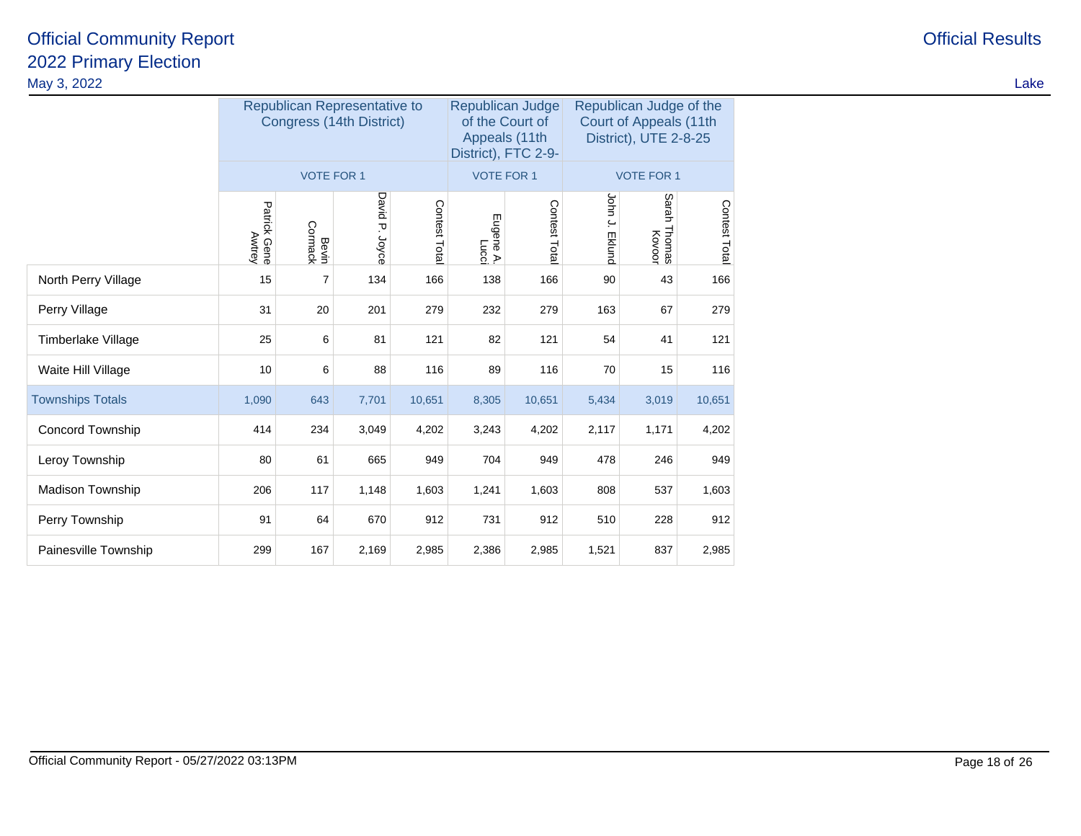|                         |                        |                   | Republican Representative to<br>Congress (14th District) |              | Republican Judge<br>Appeals (11th<br>District), FTC 2-9- | of the Court of | Republican Judge of the<br>Court of Appeals (11th<br>District), UTE 2-8-25 |                           |               |  |
|-------------------------|------------------------|-------------------|----------------------------------------------------------|--------------|----------------------------------------------------------|-----------------|----------------------------------------------------------------------------|---------------------------|---------------|--|
|                         |                        | <b>VOTE FOR 1</b> |                                                          |              | <b>VOTE FOR 1</b>                                        |                 | <b>VOTE FOR 1</b>                                                          |                           |               |  |
|                         | Patrick Gene<br>Awtrey | Cormack<br>Bevin  | David P. Joyce                                           | Contest Tota | Eugene A.<br>Lucci                                       | Contest Tota    | John J.<br><b>Eklund</b>                                                   | Sarah<br>Thomas<br>Kovoor | Contest Total |  |
| North Perry Village     | 15                     | 7                 | 134                                                      | 166          | 138                                                      | 166             | 90                                                                         | 43                        | 166           |  |
| Perry Village           | 31                     | 20                | 201                                                      | 279          | 232<br>279                                               |                 | 163                                                                        | 67                        | 279           |  |
| Timberlake Village      | 25                     | 6                 | 81                                                       | 121          | 82                                                       | 121             | 54                                                                         | 41                        | 121           |  |
| Waite Hill Village      | 10                     | 6                 | 88                                                       | 116          | 89                                                       | 116             | 70                                                                         | 15                        | 116           |  |
| <b>Townships Totals</b> | 1,090                  | 643               | 7,701                                                    | 10,651       | 8,305                                                    | 10,651          | 5,434                                                                      | 3,019                     | 10,651        |  |
| Concord Township        | 414                    | 234               | 3,049                                                    | 4,202        | 3,243                                                    | 4,202           | 2,117                                                                      | 1,171                     | 4,202         |  |
| Leroy Township          | 80                     | 61                | 665                                                      | 949          | 704                                                      | 949             | 478                                                                        | 246                       | 949           |  |
| Madison Township        | 206                    | 117               | 1,148                                                    | 1,603        | 1,241                                                    | 1,603           | 808                                                                        | 537                       | 1,603         |  |
| Perry Township          | 91                     | 64                | 670                                                      | 912          | 731                                                      | 912             | 510                                                                        | 228                       | 912           |  |
| Painesville Township    | 299                    | 167               | 2,169                                                    | 2,985        | 2,386                                                    | 2,985           | 1,521                                                                      | 837                       | 2,985         |  |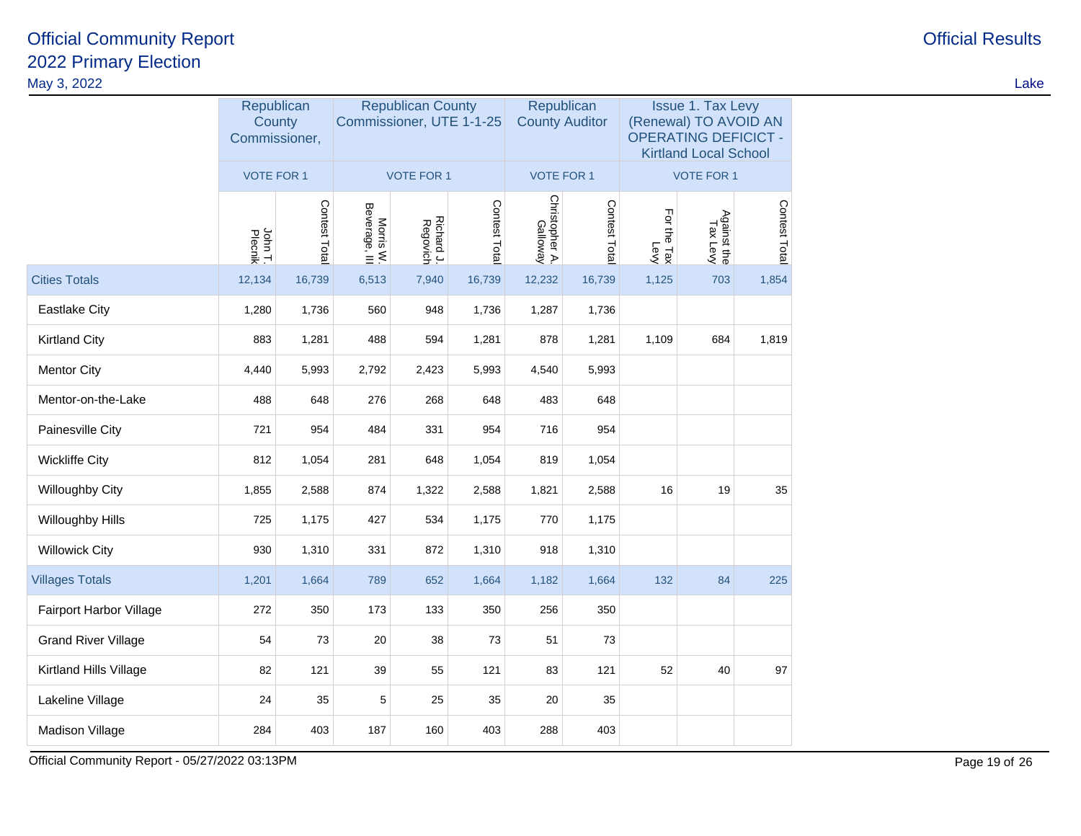|                            | Republican<br>County<br>Commissioner, |               |                            | <b>Republican County</b><br>Commissioner, UTE 1-1-25 |               | Republican<br><b>County Auditor</b> |               | <b>Issue 1. Tax Levy</b><br>(Renewal) TO AVOID AN<br><b>OPERATING DEFICICT -</b><br><b>Kirtland Local School</b> |                         |               |  |
|----------------------------|---------------------------------------|---------------|----------------------------|------------------------------------------------------|---------------|-------------------------------------|---------------|------------------------------------------------------------------------------------------------------------------|-------------------------|---------------|--|
|                            | <b>VOTE FOR 1</b>                     |               |                            | <b>VOTE FOR 1</b>                                    |               | <b>VOTE FOR 1</b>                   |               |                                                                                                                  | <b>VOTE FOR 1</b>       |               |  |
|                            | John T.<br>Plecnik                    | Contest Total | Morris W.<br>Beverage, III | Richard J.<br>Regovich                               | Contest Total | Christopher A.<br>Galloway          | Contest Total | For the Tax<br>Levy                                                                                              | Against the<br>Tax Levy | Contest Total |  |
| <b>Cities Totals</b>       | 12,134                                | 16,739        | 6,513                      | 7,940                                                | 16,739        | 12,232                              | 16,739        | 1,125                                                                                                            | 703                     | 1,854         |  |
| <b>Eastlake City</b>       | 1,280                                 | 1,736         | 560                        | 948                                                  | 1,736         | 1,287                               | 1,736         |                                                                                                                  |                         |               |  |
| <b>Kirtland City</b>       | 883                                   | 1,281         | 488                        | 594                                                  | 1,281         | 878                                 | 1,281         | 1,109                                                                                                            | 684                     | 1,819         |  |
| <b>Mentor City</b>         | 4,440                                 | 5,993         | 2,792                      | 2,423                                                | 5,993         | 4,540                               | 5,993         |                                                                                                                  |                         |               |  |
| Mentor-on-the-Lake         | 488                                   | 648           | 276                        | 268                                                  | 648           | 483                                 | 648           |                                                                                                                  |                         |               |  |
| Painesville City           | 721                                   | 954           | 484                        | 331                                                  | 954           | 716                                 | 954           |                                                                                                                  |                         |               |  |
| <b>Wickliffe City</b>      | 812                                   | 1,054         | 281                        | 648                                                  | 1,054         | 819                                 | 1,054         |                                                                                                                  |                         |               |  |
| Willoughby City            | 1,855                                 | 2,588         | 874                        | 1,322                                                | 2,588         | 1,821                               | 2,588         | 16                                                                                                               | 19                      | 35            |  |
| Willoughby Hills           | 725                                   | 1,175         | 427                        | 534                                                  | 1,175         | 770                                 | 1,175         |                                                                                                                  |                         |               |  |
| <b>Willowick City</b>      | 930                                   | 1,310         | 331                        | 872                                                  | 1,310         | 918                                 | 1,310         |                                                                                                                  |                         |               |  |
| <b>Villages Totals</b>     | 1,201                                 | 1,664         | 789                        | 652                                                  | 1,664         | 1,182                               | 1,664         | 132                                                                                                              | 84                      | 225           |  |
| Fairport Harbor Village    | 272                                   | 350           | 173                        | 133                                                  | 350           | 256                                 | 350           |                                                                                                                  |                         |               |  |
| <b>Grand River Village</b> | 54                                    | 73            | 20                         | 38                                                   | 73            | 51                                  | 73            |                                                                                                                  |                         |               |  |
| Kirtland Hills Village     | 82                                    | 121           | 39                         | 55                                                   | 121           | 83                                  | 121           | 52                                                                                                               | 40                      | 97            |  |
| Lakeline Village           | 24                                    | 35            | 5                          | 25                                                   | 35            | 20                                  | 35            |                                                                                                                  |                         |               |  |
| Madison Village            | 284                                   | 403           | 187                        | 160                                                  | 403           | 288                                 | 403           |                                                                                                                  |                         |               |  |

Official Community Report - 05/27/2022 03:13PM

# **Official Results**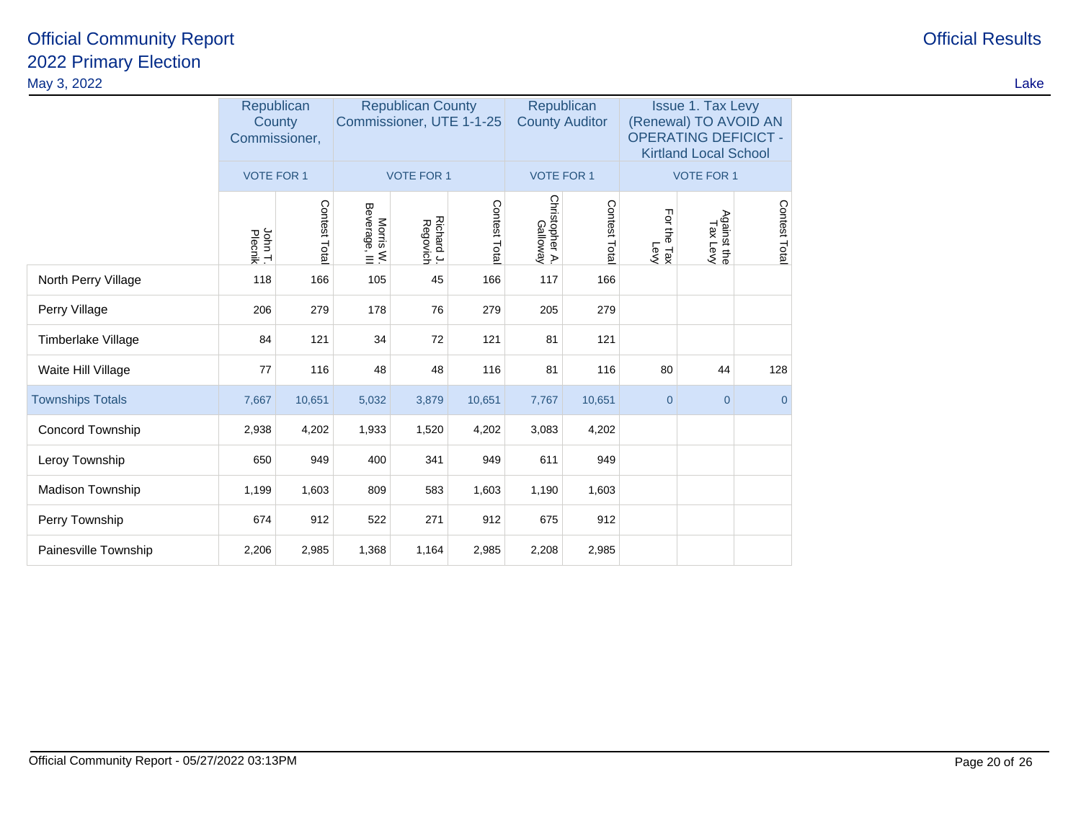|                         |                    | <b>Republican County</b><br>Republican<br>Commissioner, UTE 1-1-25<br><b>County Auditor</b><br>County<br>Commissioner, |                            |                        |              |                            | Republican    | <b>Issue 1. Tax Levy</b><br>(Renewal) TO AVOID AN<br><b>OPERATING DEFICICT -</b><br><b>Kirtland Local School</b> |                         |                |  |
|-------------------------|--------------------|------------------------------------------------------------------------------------------------------------------------|----------------------------|------------------------|--------------|----------------------------|---------------|------------------------------------------------------------------------------------------------------------------|-------------------------|----------------|--|
|                         | <b>VOTE FOR 1</b>  |                                                                                                                        |                            | <b>VOTE FOR 1</b>      |              | <b>VOTE FOR 1</b>          |               |                                                                                                                  | <b>VOTE FOR 1</b>       |                |  |
|                         | John T.<br>Plecnik | Contest Total                                                                                                          | Morris W.<br>Beverage, III | Richard J.<br>Regovich | Contest Tota | Christopher A.<br>Galloway | Contest Total | For the Tax<br>For the Tax                                                                                       | Against the<br>Tax Levy | Contest Total  |  |
| North Perry Village     | 118                | 166                                                                                                                    | 105                        | 45                     | 166          | 117                        | 166           |                                                                                                                  |                         |                |  |
| Perry Village           | 206                | 279                                                                                                                    | 178                        | 76                     | 279          | 205                        | 279           |                                                                                                                  |                         |                |  |
| Timberlake Village      | 84                 | 121                                                                                                                    | 34                         | 72                     | 121          | 81                         | 121           |                                                                                                                  |                         |                |  |
| Waite Hill Village      | 77                 | 116                                                                                                                    | 48                         | 48                     | 116          | 81                         | 116           | 80                                                                                                               | 44                      | 128            |  |
| <b>Townships Totals</b> | 7,667              | 10,651                                                                                                                 | 5,032                      | 3,879                  | 10,651       | 7,767                      | 10,651        | $\overline{0}$                                                                                                   | $\mathbf 0$             | $\overline{0}$ |  |
| Concord Township        | 2,938              | 4,202                                                                                                                  | 1,933                      | 1,520                  | 4,202        | 3,083                      | 4,202         |                                                                                                                  |                         |                |  |
| Leroy Township          | 650                | 949                                                                                                                    | 400                        | 341                    | 949          | 611                        | 949           |                                                                                                                  |                         |                |  |
| Madison Township        | 1,199              | 1,603                                                                                                                  | 809                        | 583                    | 1,603        | 1,190                      | 1,603         |                                                                                                                  |                         |                |  |
| Perry Township          | 674                | 912                                                                                                                    | 522                        | 271                    | 912          | 675                        | 912           |                                                                                                                  |                         |                |  |
| Painesville Township    | 2,206              | 2,985                                                                                                                  | 1,368                      | 1,164                  | 2,985        | 2,208                      | 2,985         |                                                                                                                  |                         |                |  |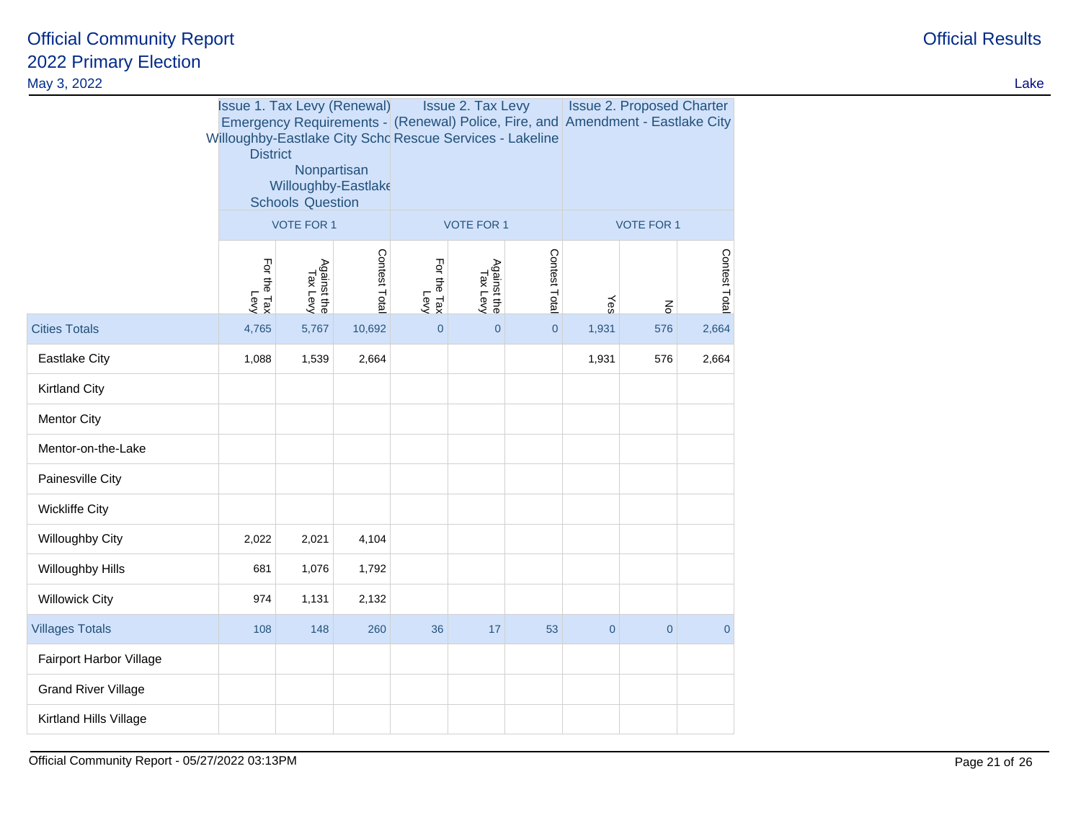| May 3, 2022                |                            |                                                                                                     |               |                                                                                                                                                                        |                         |                |                |                                  |                |  | Lake |
|----------------------------|----------------------------|-----------------------------------------------------------------------------------------------------|---------------|------------------------------------------------------------------------------------------------------------------------------------------------------------------------|-------------------------|----------------|----------------|----------------------------------|----------------|--|------|
|                            | <b>District</b>            | <b>Issue 1. Tax Levy (Renewal)</b><br>Nonpartisan<br>Willoughby-Eastlake<br><b>Schools Question</b> |               | <b>Issue 2. Tax Levy</b><br>Emergency Requirements - (Renewal) Police, Fire, and Amendment - Eastlake City<br>Willoughby-Eastlake City Scho Rescue Services - Lakeline |                         |                |                | <b>Issue 2. Proposed Charter</b> |                |  |      |
|                            |                            | <b>VOTE FOR 1</b>                                                                                   |               |                                                                                                                                                                        | <b>VOTE FOR 1</b>       |                | VOTE FOR 1     |                                  |                |  |      |
|                            | For the Tax<br>For the Tax | Against the<br>Tax Levy                                                                             | Contest Total | For the Tax<br>For the Tax                                                                                                                                             | Against the<br>Tax Levy | Contest Total  | Yes            | $\frac{2}{5}$                    | Contest Total  |  |      |
| <b>Cities Totals</b>       | 4,765                      | 5,767                                                                                               | 10,692        | $\overline{0}$                                                                                                                                                         | $\overline{0}$          | $\overline{0}$ | 1,931          | 576                              | 2,664          |  |      |
| Eastlake City              | 1,088                      | 1,539                                                                                               | 2,664         |                                                                                                                                                                        |                         |                | 1,931          | 576                              | 2,664          |  |      |
| <b>Kirtland City</b>       |                            |                                                                                                     |               |                                                                                                                                                                        |                         |                |                |                                  |                |  |      |
| <b>Mentor City</b>         |                            |                                                                                                     |               |                                                                                                                                                                        |                         |                |                |                                  |                |  |      |
| Mentor-on-the-Lake         |                            |                                                                                                     |               |                                                                                                                                                                        |                         |                |                |                                  |                |  |      |
| Painesville City           |                            |                                                                                                     |               |                                                                                                                                                                        |                         |                |                |                                  |                |  |      |
| <b>Wickliffe City</b>      |                            |                                                                                                     |               |                                                                                                                                                                        |                         |                |                |                                  |                |  |      |
| Willoughby City            | 2,022                      | 2,021                                                                                               | 4,104         |                                                                                                                                                                        |                         |                |                |                                  |                |  |      |
| Willoughby Hills           | 681                        | 1,076                                                                                               | 1,792         |                                                                                                                                                                        |                         |                |                |                                  |                |  |      |
| <b>Willowick City</b>      | 974                        | 1,131                                                                                               | 2,132         |                                                                                                                                                                        |                         |                |                |                                  |                |  |      |
| <b>Villages Totals</b>     | 108                        | 148                                                                                                 | 260           | 36                                                                                                                                                                     | 17                      | 53             | $\overline{0}$ | $\overline{0}$                   | $\overline{0}$ |  |      |
| Fairport Harbor Village    |                            |                                                                                                     |               |                                                                                                                                                                        |                         |                |                |                                  |                |  |      |
| <b>Grand River Village</b> |                            |                                                                                                     |               |                                                                                                                                                                        |                         |                |                |                                  |                |  |      |
| Kirtland Hills Village     |                            |                                                                                                     |               |                                                                                                                                                                        |                         |                |                |                                  |                |  |      |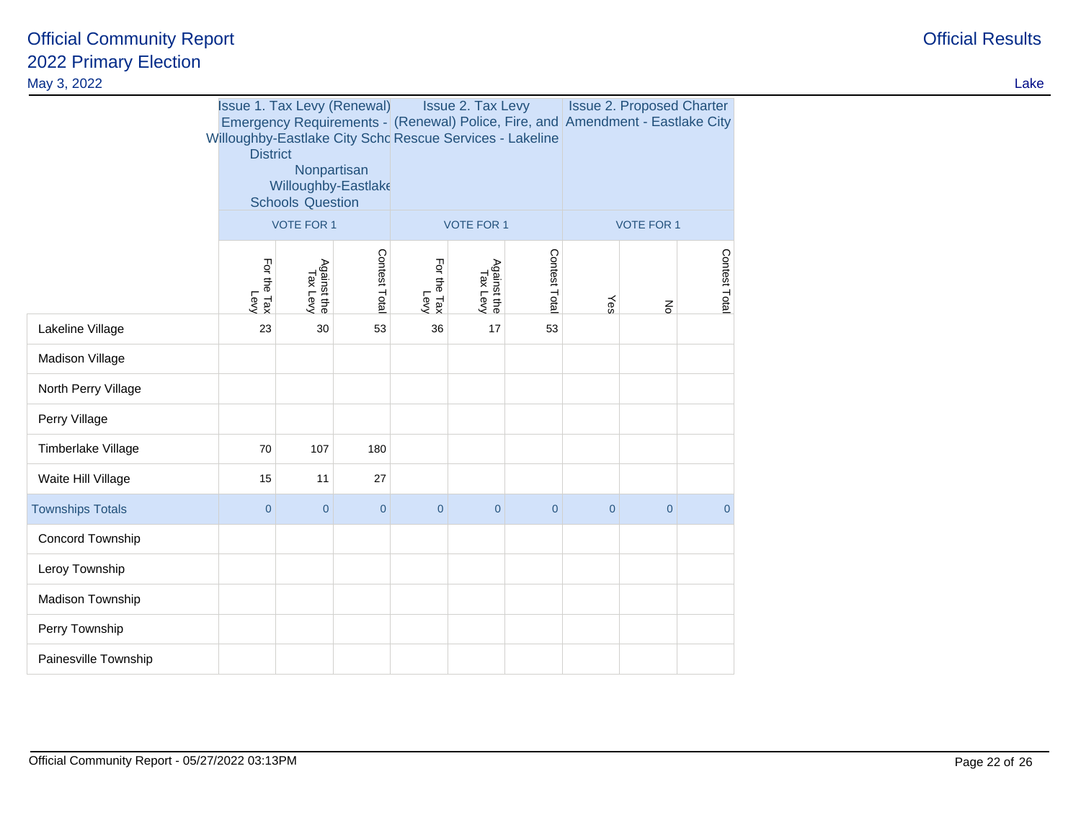| May 3, 2022             |                                                                                                                                                                                                         |                         |                |                            |                                                                                                                                                                                          |                |                |              |                |  |  | Lake |
|-------------------------|---------------------------------------------------------------------------------------------------------------------------------------------------------------------------------------------------------|-------------------------|----------------|----------------------------|------------------------------------------------------------------------------------------------------------------------------------------------------------------------------------------|----------------|----------------|--------------|----------------|--|--|------|
|                         | <b>Issue 1. Tax Levy (Renewal)</b><br>Willoughby-Eastlake City Schc Rescue Services - Lakeline<br><b>District</b><br>Nonpartisan<br>Willoughby-Eastlake<br><b>Schools Question</b><br><b>VOTE FOR 1</b> |                         |                |                            | <b>Issue 2. Tax Levy</b><br><b>Issue 2. Proposed Charter</b><br>Emergency Requirements - (Renewal) Police, Fire, and Amendment - Eastlake City<br><b>VOTE FOR 1</b><br><b>VOTE FOR 1</b> |                |                |              |                |  |  |      |
|                         | For the Tax<br>For the Tax                                                                                                                                                                              | Against the<br>Tax Levy | Contest Total  | For the Tax<br>For the Tax | Against the<br>Tax Levy                                                                                                                                                                  | Contest Total  | Yes            | $\mathbf{g}$ | Contest Tota   |  |  |      |
| Lakeline Village        | 23                                                                                                                                                                                                      | 30                      | 53             | 36                         | 17                                                                                                                                                                                       | 53             |                |              |                |  |  |      |
| Madison Village         |                                                                                                                                                                                                         |                         |                |                            |                                                                                                                                                                                          |                |                |              |                |  |  |      |
| North Perry Village     |                                                                                                                                                                                                         |                         |                |                            |                                                                                                                                                                                          |                |                |              |                |  |  |      |
| Perry Village           |                                                                                                                                                                                                         |                         |                |                            |                                                                                                                                                                                          |                |                |              |                |  |  |      |
| Timberlake Village      | 70                                                                                                                                                                                                      | 107                     | 180            |                            |                                                                                                                                                                                          |                |                |              |                |  |  |      |
| Waite Hill Village      | 15                                                                                                                                                                                                      | 11                      | 27             |                            |                                                                                                                                                                                          |                |                |              |                |  |  |      |
| <b>Townships Totals</b> | $\overline{0}$                                                                                                                                                                                          | $\overline{0}$          | $\overline{0}$ | $\overline{0}$             | $\overline{0}$                                                                                                                                                                           | $\overline{0}$ | $\overline{0}$ | $\mathbf 0$  | $\overline{0}$ |  |  |      |
| Concord Township        |                                                                                                                                                                                                         |                         |                |                            |                                                                                                                                                                                          |                |                |              |                |  |  |      |
| Leroy Township          |                                                                                                                                                                                                         |                         |                |                            |                                                                                                                                                                                          |                |                |              |                |  |  |      |
| Madison Township        |                                                                                                                                                                                                         |                         |                |                            |                                                                                                                                                                                          |                |                |              |                |  |  |      |
| Perry Township          |                                                                                                                                                                                                         |                         |                |                            |                                                                                                                                                                                          |                |                |              |                |  |  |      |
| Painesville Township    |                                                                                                                                                                                                         |                         |                |                            |                                                                                                                                                                                          |                |                |              |                |  |  |      |
|                         |                                                                                                                                                                                                         |                         |                |                            |                                                                                                                                                                                          |                |                |              |                |  |  |      |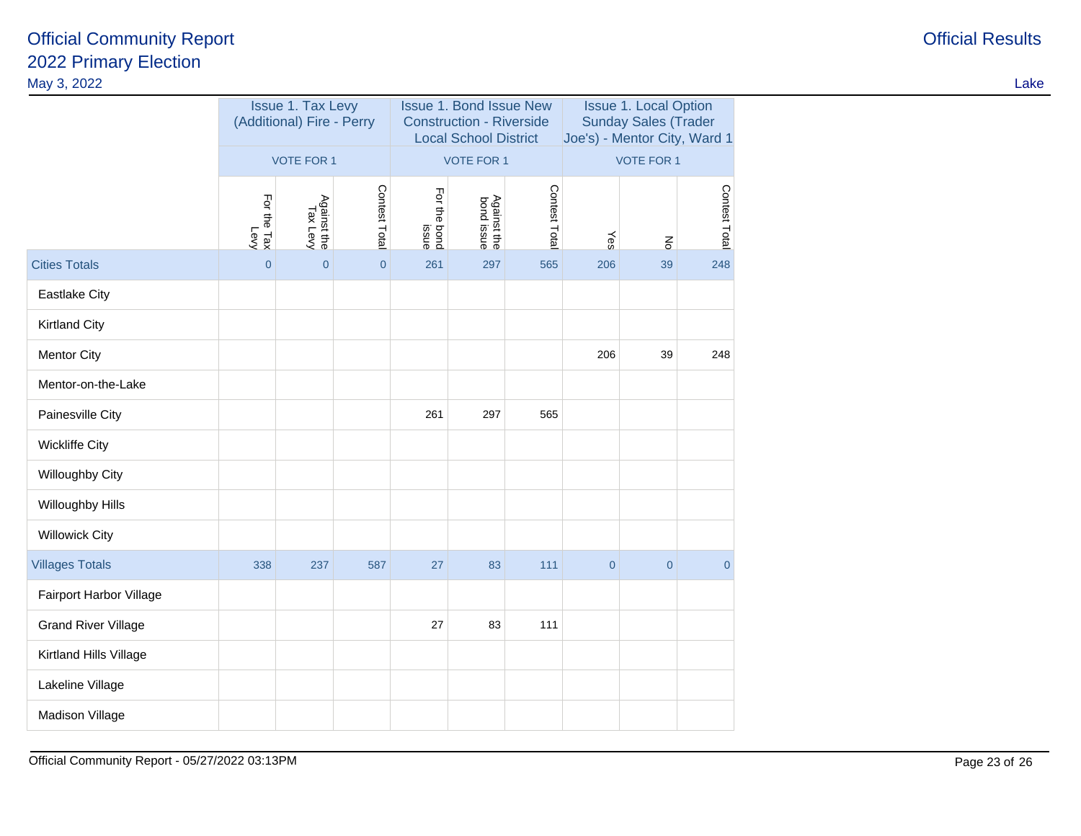| May 3, 2022                |                     |                                                       |                |                                                                                                   |                           |               |                                                                                             |                  |                | Lake |
|----------------------------|---------------------|-------------------------------------------------------|----------------|---------------------------------------------------------------------------------------------------|---------------------------|---------------|---------------------------------------------------------------------------------------------|------------------|----------------|------|
|                            |                     | <b>Issue 1. Tax Levy</b><br>(Additional) Fire - Perry |                | <b>Issue 1. Bond Issue New</b><br><b>Construction - Riverside</b><br><b>Local School District</b> |                           |               | <b>Issue 1. Local Option</b><br><b>Sunday Sales (Trader</b><br>Joe's) - Mentor City, Ward 1 |                  |                |      |
|                            | <b>VOTE FOR 1</b>   |                                                       |                | VOTE FOR 1                                                                                        |                           |               | <b>VOTE FOR 1</b>                                                                           |                  |                |      |
|                            | For the Tax<br>Levy | Against the<br>Tax Levy                               | Contest Total  | For the bond<br>issue                                                                             | Against the<br>bond issue | Contest Total | Yes                                                                                         | $\overline{\xi}$ | Contest Total  |      |
| <b>Cities Totals</b>       | $\mathbf 0$         | $\overline{0}$                                        | $\overline{0}$ | 261                                                                                               | 297                       | 565           | 206                                                                                         | 39               | 248            |      |
| Eastlake City              |                     |                                                       |                |                                                                                                   |                           |               |                                                                                             |                  |                |      |
| <b>Kirtland City</b>       |                     |                                                       |                |                                                                                                   |                           |               |                                                                                             |                  |                |      |
| <b>Mentor City</b>         |                     |                                                       |                |                                                                                                   |                           |               | 206                                                                                         | 39               | 248            |      |
| Mentor-on-the-Lake         |                     |                                                       |                |                                                                                                   |                           |               |                                                                                             |                  |                |      |
| Painesville City           |                     |                                                       |                | 261                                                                                               | 297                       | 565           |                                                                                             |                  |                |      |
| <b>Wickliffe City</b>      |                     |                                                       |                |                                                                                                   |                           |               |                                                                                             |                  |                |      |
| Willoughby City            |                     |                                                       |                |                                                                                                   |                           |               |                                                                                             |                  |                |      |
| Willoughby Hills           |                     |                                                       |                |                                                                                                   |                           |               |                                                                                             |                  |                |      |
| <b>Willowick City</b>      |                     |                                                       |                |                                                                                                   |                           |               |                                                                                             |                  |                |      |
| <b>Villages Totals</b>     | 338                 | 237                                                   | 587            | 27                                                                                                | 83                        | 111           | $\overline{0}$                                                                              | $\pmb{0}$        | $\overline{0}$ |      |
| Fairport Harbor Village    |                     |                                                       |                |                                                                                                   |                           |               |                                                                                             |                  |                |      |
| <b>Grand River Village</b> |                     |                                                       |                | 27                                                                                                | 83                        | 111           |                                                                                             |                  |                |      |
| Kirtland Hills Village     |                     |                                                       |                |                                                                                                   |                           |               |                                                                                             |                  |                |      |
| Lakeline Village           |                     |                                                       |                |                                                                                                   |                           |               |                                                                                             |                  |                |      |
| Madison Village            |                     |                                                       |                |                                                                                                   |                           |               |                                                                                             |                  |                |      |
|                            |                     |                                                       |                |                                                                                                   |                           |               |                                                                                             |                  |                |      |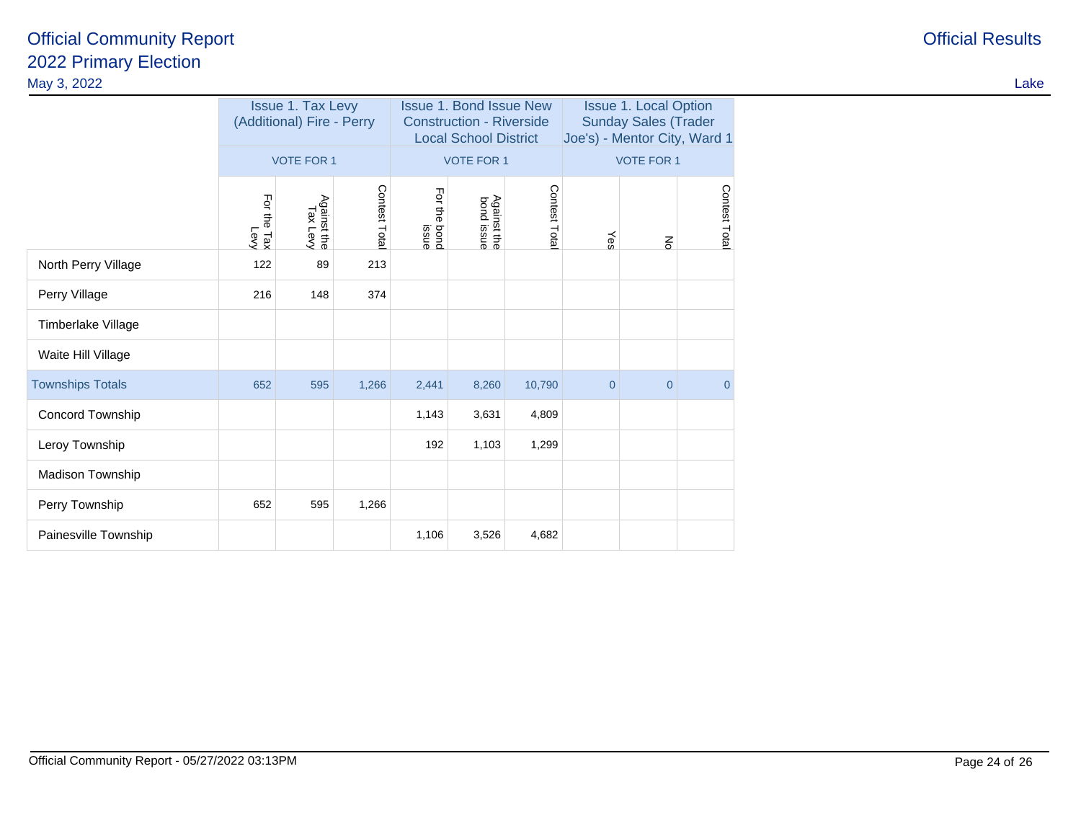| May 3, 2022             |                                                |                                              |               |                                                                                                   |                                                |               |                                                                                             |                                   |               |  | Lake |
|-------------------------|------------------------------------------------|----------------------------------------------|---------------|---------------------------------------------------------------------------------------------------|------------------------------------------------|---------------|---------------------------------------------------------------------------------------------|-----------------------------------|---------------|--|------|
|                         | Issue 1. Tax Levy<br>(Additional) Fire - Perry |                                              |               | <b>Issue 1. Bond Issue New</b><br><b>Construction - Riverside</b><br><b>Local School District</b> |                                                |               | <b>Issue 1. Local Option</b><br><b>Sunday Sales (Trader</b><br>Joe's) - Mentor City, Ward 1 |                                   |               |  |      |
|                         | For the Tax<br>For the Tax                     | <b>VOTE FOR 1</b><br>Against the<br>Tax Levy | Contest Total | For the bond<br>issue                                                                             | <b>VOTE FOR 1</b><br>Against the<br>bond issue | Contest Total | Yes                                                                                         | <b>VOTE FOR 1</b><br>$\mathbf{g}$ | Contest Total |  |      |
| North Perry Village     | 122                                            | 89                                           | 213           |                                                                                                   |                                                |               |                                                                                             |                                   |               |  |      |
| Perry Village           | 216                                            | 148                                          | 374           |                                                                                                   |                                                |               |                                                                                             |                                   |               |  |      |
| Timberlake Village      |                                                |                                              |               |                                                                                                   |                                                |               |                                                                                             |                                   |               |  |      |
| Waite Hill Village      |                                                |                                              |               |                                                                                                   |                                                |               |                                                                                             |                                   |               |  |      |
| <b>Townships Totals</b> | 652                                            | 595                                          | 1,266         | 2,441                                                                                             | 8,260                                          | 10,790        | $\overline{0}$                                                                              | $\overline{0}$                    | $\Omega$      |  |      |
| Concord Township        |                                                |                                              |               | 1,143                                                                                             | 3,631                                          | 4,809         |                                                                                             |                                   |               |  |      |
| Leroy Township          |                                                |                                              |               | 192                                                                                               | 1,103                                          | 1,299         |                                                                                             |                                   |               |  |      |
| Madison Township        |                                                |                                              |               |                                                                                                   |                                                |               |                                                                                             |                                   |               |  |      |
| Perry Township          | 652                                            | 595                                          | 1,266         |                                                                                                   |                                                |               |                                                                                             |                                   |               |  |      |
| Painesville Township    |                                                |                                              |               | 1,106                                                                                             | 3,526                                          | 4,682         |                                                                                             |                                   |               |  |      |
|                         |                                                |                                              |               |                                                                                                   |                                                |               |                                                                                             |                                   |               |  |      |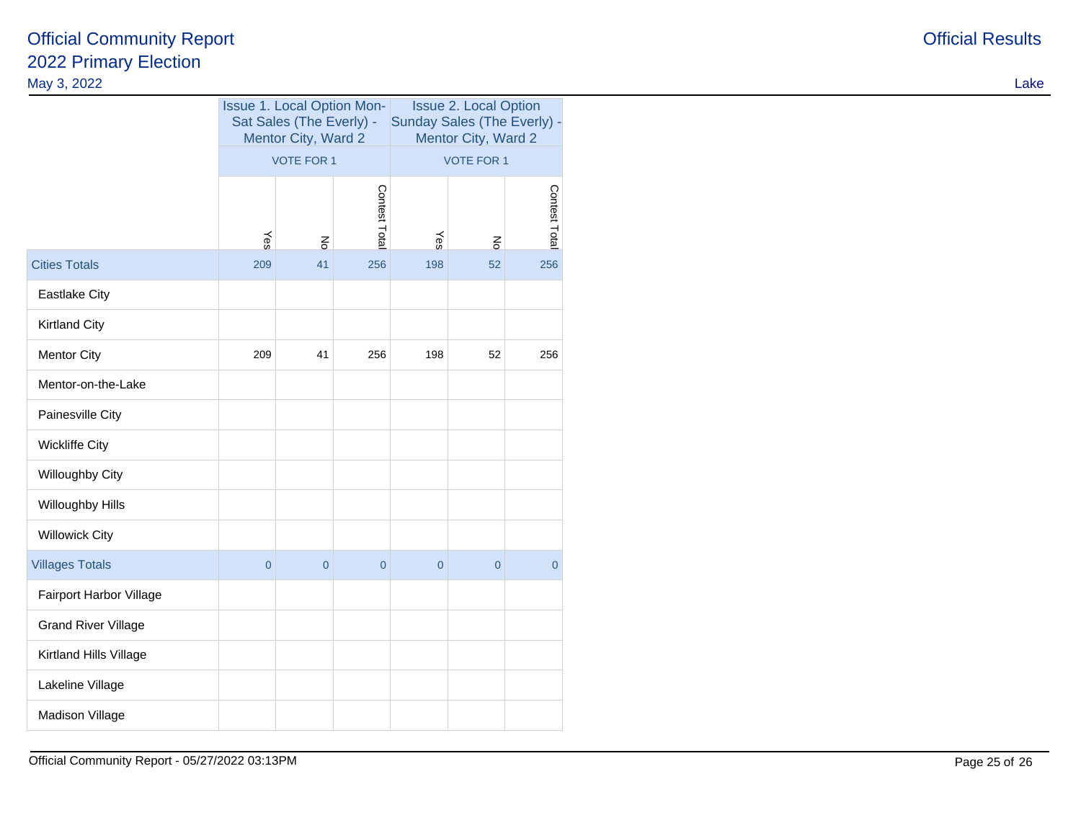|                            | <b>Issue 1. Local Option Mon-</b><br>Sat Sales (The Everly) -<br>Mentor City, Ward 2 |                |                | <b>Issue 2. Local Option</b><br>Sunday Sales (The Everly) -<br>Mentor City, Ward 2 |                |                |  |
|----------------------------|--------------------------------------------------------------------------------------|----------------|----------------|------------------------------------------------------------------------------------|----------------|----------------|--|
|                            | <b>VOTE FOR 1</b>                                                                    |                |                | <b>VOTE FOR 1</b>                                                                  |                |                |  |
|                            | Yes                                                                                  | $\overline{5}$ | Contest Tota   | Yes                                                                                | $\overline{5}$ | Contest Total  |  |
| <b>Cities Totals</b>       | 209                                                                                  | 41             | 256            | 198                                                                                | 52             | 256            |  |
| <b>Eastlake City</b>       |                                                                                      |                |                |                                                                                    |                |                |  |
| <b>Kirtland City</b>       |                                                                                      |                |                |                                                                                    |                |                |  |
| <b>Mentor City</b>         | 209                                                                                  | 41             | 256            | 198                                                                                | 52             | 256            |  |
| Mentor-on-the-Lake         |                                                                                      |                |                |                                                                                    |                |                |  |
| Painesville City           |                                                                                      |                |                |                                                                                    |                |                |  |
| <b>Wickliffe City</b>      |                                                                                      |                |                |                                                                                    |                |                |  |
| Willoughby City            |                                                                                      |                |                |                                                                                    |                |                |  |
| Willoughby Hills           |                                                                                      |                |                |                                                                                    |                |                |  |
| <b>Willowick City</b>      |                                                                                      |                |                |                                                                                    |                |                |  |
| <b>Villages Totals</b>     | $\overline{0}$                                                                       | $\overline{0}$ | $\overline{0}$ | $\overline{0}$                                                                     | $\overline{0}$ | $\overline{0}$ |  |
| Fairport Harbor Village    |                                                                                      |                |                |                                                                                    |                |                |  |
| <b>Grand River Village</b> |                                                                                      |                |                |                                                                                    |                |                |  |
| Kirtland Hills Village     |                                                                                      |                |                |                                                                                    |                |                |  |
| Lakeline Village           |                                                                                      |                |                |                                                                                    |                |                |  |
| Madison Village            |                                                                                      |                |                |                                                                                    |                |                |  |